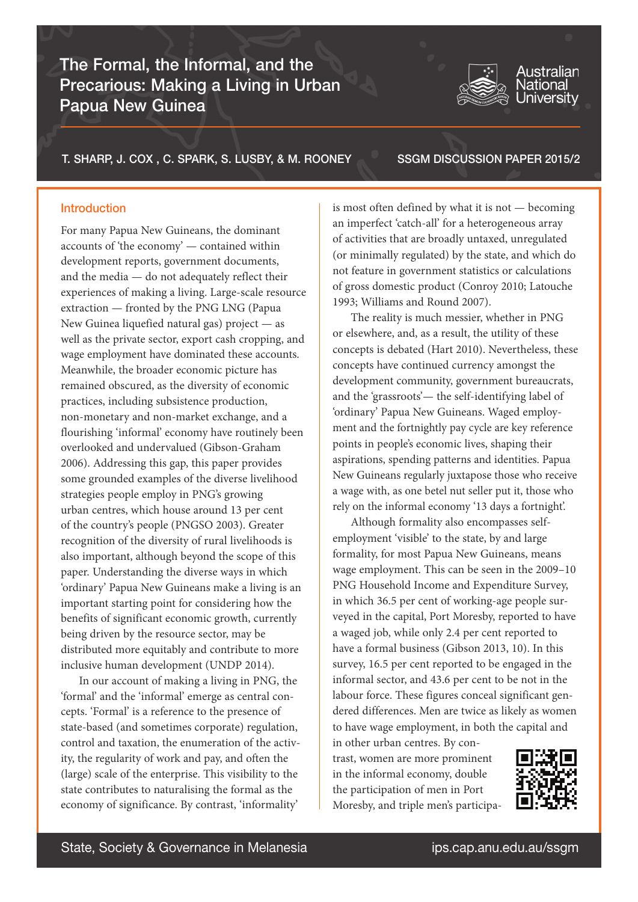The Formal, the Informal, and the Precarious: Making a Living in Urban Papua New Guinea



Australian lational Universitv

# T. SHARP, J. COX , C. SPARK, S. LUSBY, & M. ROONEY

SSGM DISCUSSION PAPER 2015/2

# Introduction

For many Papua New Guineans, the dominant accounts of 'the economy' — contained within development reports, government documents, and the media — do not adequately reflect their experiences of making a living. Large-scale resource extraction — fronted by the PNG LNG (Papua New Guinea liquefied natural gas) project — as well as the private sector, export cash cropping, and wage employment have dominated these accounts. Meanwhile, the broader economic picture has remained obscured, as the diversity of economic practices, including subsistence production, non-monetary and non-market exchange, and a flourishing 'informal' economy have routinely been overlooked and undervalued (Gibson-Graham 2006). Addressing this gap, this paper provides some grounded examples of the diverse livelihood strategies people employ in PNG's growing urban centres, which house around 13 per cent of the country's people (PNGSO 2003). Greater recognition of the diversity of rural livelihoods is also important, although beyond the scope of this paper. Understanding the diverse ways in which 'ordinary' Papua New Guineans make a living is an important starting point for considering how the benefits of significant economic growth, currently being driven by the resource sector, may be distributed more equitably and contribute to more inclusive human development (UNDP 2014).

In our account of making a living in PNG, the 'formal' and the 'informal' emerge as central concepts. 'Formal' is a reference to the presence of state-based (and sometimes corporate) regulation, control and taxation, the enumeration of the activity, the regularity of work and pay, and often the (large) scale of the enterprise. This visibility to the state contributes to naturalising the formal as the economy of significance. By contrast, 'informality'

is most often defined by what it is not — becoming an imperfect 'catch-all' for a heterogeneous array of activities that are broadly untaxed, unregulated (or minimally regulated) by the state, and which do not feature in government statistics or calculations of gross domestic product (Conroy 2010; Latouche 1993; Williams and Round 2007).

The reality is much messier, whether in PNG or elsewhere, and, as a result, the utility of these concepts is debated (Hart 2010). Nevertheless, these concepts have continued currency amongst the development community, government bureaucrats, and the 'grassroots'— the self-identifying label of 'ordinary' Papua New Guineans. Waged employment and the fortnightly pay cycle are key reference points in people's economic lives, shaping their aspirations, spending patterns and identities. Papua New Guineans regularly juxtapose those who receive a wage with, as one betel nut seller put it, those who rely on the informal economy '13 days a fortnight'.

Although formality also encompasses selfemployment 'visible' to the state, by and large formality, for most Papua New Guineans, means wage employment. This can be seen in the 2009–10 PNG Household Income and Expenditure Survey, in which 36.5 per cent of working-age people surveyed in the capital, Port Moresby, reported to have a waged job, while only 2.4 per cent reported to have a formal business (Gibson 2013, 10). In this survey, 16.5 per cent reported to be engaged in the informal sector, and 43.6 per cent to be not in the labour force. These figures conceal significant gendered differences. Men are twice as likely as women to have wage employment, in both the capital and

in other urban centres. By contrast, women are more prominent in the informal economy, double the participation of men in Port Moresby, and triple men's participa-

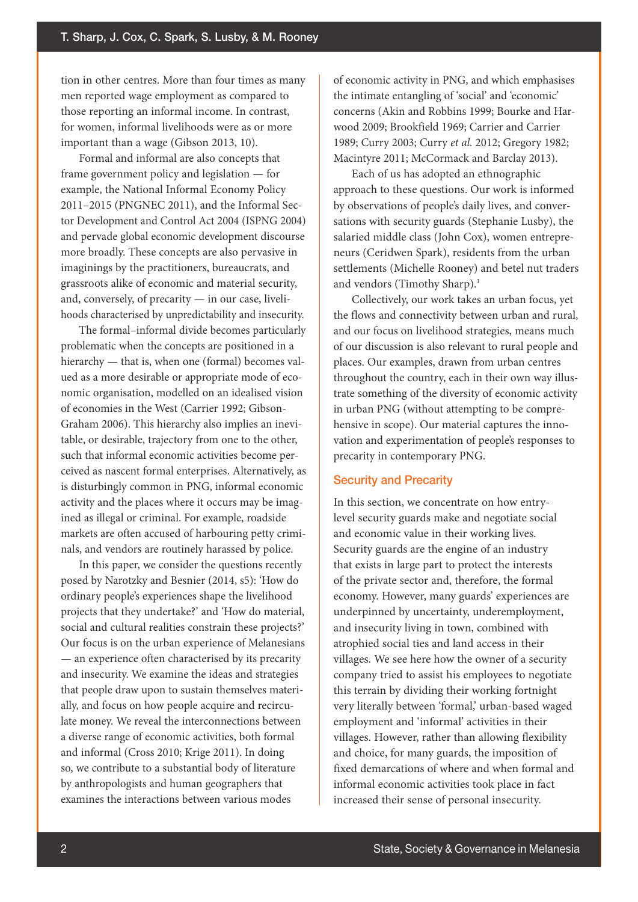tion in other centres. More than four times as many men reported wage employment as compared to those reporting an informal income. In contrast, for women, informal livelihoods were as or more important than a wage (Gibson 2013, 10).

Formal and informal are also concepts that frame government policy and legislation — for example, the National Informal Economy Policy 2011–2015 (PNGNEC 2011), and the Informal Sector Development and Control Act 2004 (ISPNG 2004) and pervade global economic development discourse more broadly. These concepts are also pervasive in imaginings by the practitioners, bureaucrats, and grassroots alike of economic and material security, and, conversely, of precarity — in our case, livelihoods characterised by unpredictability and insecurity.

The formal–informal divide becomes particularly problematic when the concepts are positioned in a hierarchy — that is, when one (formal) becomes valued as a more desirable or appropriate mode of economic organisation, modelled on an idealised vision of economies in the West (Carrier 1992; Gibson-Graham 2006). This hierarchy also implies an inevitable, or desirable, trajectory from one to the other, such that informal economic activities become perceived as nascent formal enterprises. Alternatively, as is disturbingly common in PNG, informal economic activity and the places where it occurs may be imagined as illegal or criminal. For example, roadside markets are often accused of harbouring petty criminals, and vendors are routinely harassed by police.

In this paper, we consider the questions recently posed by Narotzky and Besnier (2014, s5): 'How do ordinary people's experiences shape the livelihood projects that they undertake?' and 'How do material, social and cultural realities constrain these projects?' Our focus is on the urban experience of Melanesians — an experience often characterised by its precarity and insecurity. We examine the ideas and strategies that people draw upon to sustain themselves materially, and focus on how people acquire and recirculate money. We reveal the interconnections between a diverse range of economic activities, both formal and informal (Cross 2010; Krige 2011). In doing so, we contribute to a substantial body of literature by anthropologists and human geographers that examines the interactions between various modes

of economic activity in PNG, and which emphasises the intimate entangling of 'social' and 'economic' concerns (Akin and Robbins 1999; Bourke and Harwood 2009; Brookfield 1969; Carrier and Carrier 1989; Curry 2003; Curry *et al.* 2012; Gregory 1982; Macintyre 2011; McCormack and Barclay 2013).

Each of us has adopted an ethnographic approach to these questions. Our work is informed by observations of people's daily lives, and conversations with security guards (Stephanie Lusby), the salaried middle class (John Cox), women entrepreneurs (Ceridwen Spark), residents from the urban settlements (Michelle Rooney) and betel nut traders and vendors (Timothy Sharp).<sup>1</sup>

Collectively, our work takes an urban focus, yet the flows and connectivity between urban and rural, and our focus on livelihood strategies, means much of our discussion is also relevant to rural people and places. Our examples, drawn from urban centres throughout the country, each in their own way illustrate something of the diversity of economic activity in urban PNG (without attempting to be comprehensive in scope). Our material captures the innovation and experimentation of people's responses to precarity in contemporary PNG.

### Security and Precarity

In this section, we concentrate on how entrylevel security guards make and negotiate social and economic value in their working lives. Security guards are the engine of an industry that exists in large part to protect the interests of the private sector and, therefore, the formal economy. However, many guards' experiences are underpinned by uncertainty, underemployment, and insecurity living in town, combined with atrophied social ties and land access in their villages. We see here how the owner of a security company tried to assist his employees to negotiate this terrain by dividing their working fortnight very literally between 'formal,' urban-based waged employment and 'informal' activities in their villages. However, rather than allowing flexibility and choice, for many guards, the imposition of fixed demarcations of where and when formal and informal economic activities took place in fact increased their sense of personal insecurity.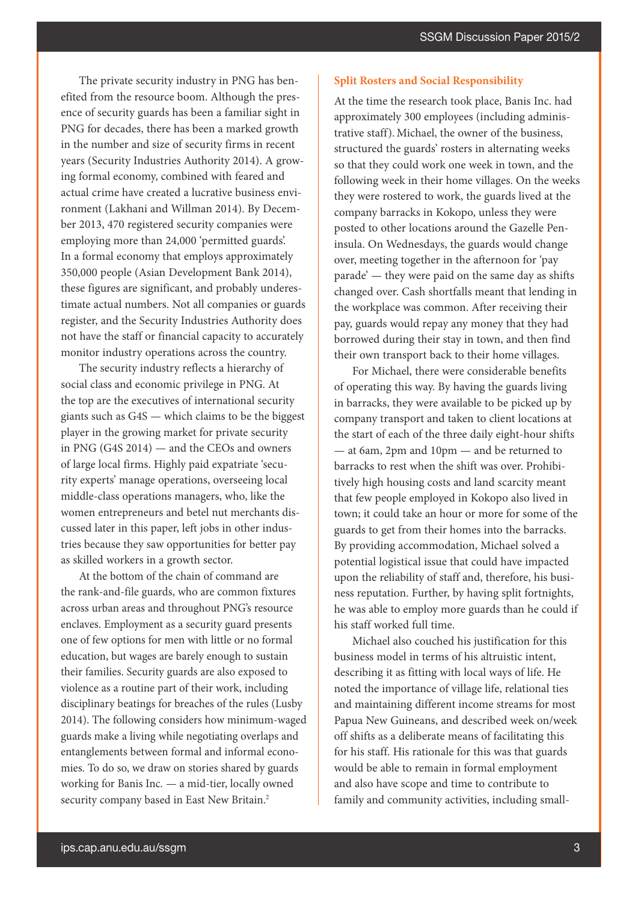The private security industry in PNG has benefited from the resource boom. Although the presence of security guards has been a familiar sight in PNG for decades, there has been a marked growth in the number and size of security firms in recent years (Security Industries Authority 2014). A growing formal economy, combined with feared and actual crime have created a lucrative business environment (Lakhani and Willman 2014). By December 2013, 470 registered security companies were employing more than 24,000 'permitted guards'. In a formal economy that employs approximately 350,000 people (Asian Development Bank 2014), these figures are significant, and probably underestimate actual numbers. Not all companies or guards register, and the Security Industries Authority does not have the staff or financial capacity to accurately monitor industry operations across the country.

The security industry reflects a hierarchy of social class and economic privilege in PNG. At the top are the executives of international security giants such as G4S — which claims to be the biggest player in the growing market for private security in PNG (G4S 2014) — and the CEOs and owners of large local firms. Highly paid expatriate 'security experts' manage operations, overseeing local middle-class operations managers, who, like the women entrepreneurs and betel nut merchants discussed later in this paper, left jobs in other industries because they saw opportunities for better pay as skilled workers in a growth sector.

At the bottom of the chain of command are the rank-and-file guards, who are common fixtures across urban areas and throughout PNG's resource enclaves. Employment as a security guard presents one of few options for men with little or no formal education, but wages are barely enough to sustain their families. Security guards are also exposed to violence as a routine part of their work, including disciplinary beatings for breaches of the rules (Lusby 2014). The following considers how minimum-waged guards make a living while negotiating overlaps and entanglements between formal and informal economies. To do so, we draw on stories shared by guards working for Banis Inc*.* — a mid-tier, locally owned security company based in East New Britain.<sup>2</sup>

#### **Split Rosters and Social Responsibility**

At the time the research took place, Banis Inc. had approximately 300 employees (including administrative staff).Michael, the owner of the business, structured the guards' rosters in alternating weeks so that they could work one week in town, and the following week in their home villages. On the weeks they were rostered to work, the guards lived at the company barracks in Kokopo, unless they were posted to other locations around the Gazelle Peninsula. On Wednesdays, the guards would change over, meeting together in the afternoon for 'pay parade' — they were paid on the same day as shifts changed over. Cash shortfalls meant that lending in the workplace was common. After receiving their pay, guards would repay any money that they had borrowed during their stay in town, and then find their own transport back to their home villages.

For Michael, there were considerable benefits of operating this way. By having the guards living in barracks, they were available to be picked up by company transport and taken to client locations at the start of each of the three daily eight-hour shifts — at 6am, 2pm and 10pm — and be returned to barracks to rest when the shift was over. Prohibitively high housing costs and land scarcity meant that few people employed in Kokopo also lived in town; it could take an hour or more for some of the guards to get from their homes into the barracks. By providing accommodation, Michael solved a potential logistical issue that could have impacted upon the reliability of staff and, therefore, his business reputation. Further, by having split fortnights, he was able to employ more guards than he could if his staff worked full time.

Michael also couched his justification for this business model in terms of his altruistic intent, describing it as fitting with local ways of life. He noted the importance of village life, relational ties and maintaining different income streams for most Papua New Guineans, and described week on/week off shifts as a deliberate means of facilitating this for his staff. His rationale for this was that guards would be able to remain in formal employment and also have scope and time to contribute to family and community activities, including small-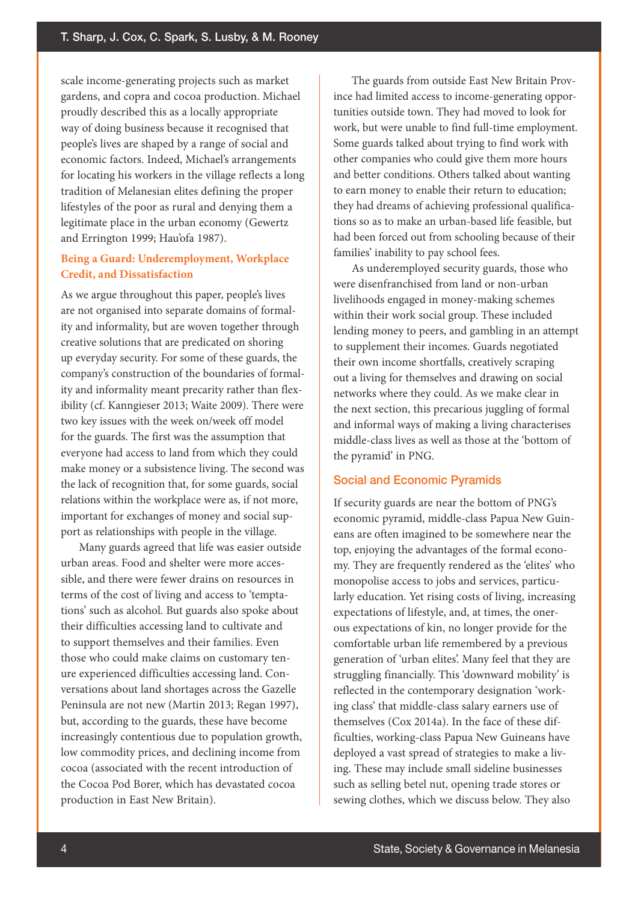scale income-generating projects such as market gardens, and copra and cocoa production. Michael proudly described this as a locally appropriate way of doing business because it recognised that people's lives are shaped by a range of social and economic factors. Indeed, Michael's arrangements for locating his workers in the village reflects a long tradition of Melanesian elites defining the proper lifestyles of the poor as rural and denying them a legitimate place in the urban economy (Gewertz and Errington 1999; Hau'ofa 1987).

# **Being a Guard: Underemployment, Workplace Credit, and Dissatisfaction**

As we argue throughout this paper, people's lives are not organised into separate domains of formality and informality, but are woven together through creative solutions that are predicated on shoring up everyday security. For some of these guards, the company's construction of the boundaries of formality and informality meant precarity rather than flexibility (cf. Kanngieser 2013; Waite 2009). There were two key issues with the week on/week off model for the guards. The first was the assumption that everyone had access to land from which they could make money or a subsistence living. The second was the lack of recognition that, for some guards, social relations within the workplace were as, if not more, important for exchanges of money and social support as relationships with people in the village.

Many guards agreed that life was easier outside urban areas. Food and shelter were more accessible, and there were fewer drains on resources in terms of the cost of living and access to 'temptations' such as alcohol. But guards also spoke about their difficulties accessing land to cultivate and to support themselves and their families. Even those who could make claims on customary tenure experienced difficulties accessing land. Conversations about land shortages across the Gazelle Peninsula are not new (Martin 2013; Regan 1997), but, according to the guards, these have become increasingly contentious due to population growth, low commodity prices, and declining income from cocoa (associated with the recent introduction of the Cocoa Pod Borer, which has devastated cocoa production in East New Britain).

The guards from outside East New Britain Province had limited access to income-generating opportunities outside town. They had moved to look for work, but were unable to find full-time employment. Some guards talked about trying to find work with other companies who could give them more hours and better conditions. Others talked about wanting to earn money to enable their return to education; they had dreams of achieving professional qualifications so as to make an urban-based life feasible, but had been forced out from schooling because of their families' inability to pay school fees.

As underemployed security guards, those who were disenfranchised from land or non-urban livelihoods engaged in money-making schemes within their work social group. These included lending money to peers, and gambling in an attempt to supplement their incomes. Guards negotiated their own income shortfalls, creatively scraping out a living for themselves and drawing on social networks where they could. As we make clear in the next section, this precarious juggling of formal and informal ways of making a living characterises middle-class lives as well as those at the 'bottom of the pyramid' in PNG.

## Social and Economic Pyramids

If security guards are near the bottom of PNG's economic pyramid, middle-class Papua New Guineans are often imagined to be somewhere near the top, enjoying the advantages of the formal economy. They are frequently rendered as the 'elites' who monopolise access to jobs and services, particularly education. Yet rising costs of living, increasing expectations of lifestyle, and, at times, the onerous expectations of kin, no longer provide for the comfortable urban life remembered by a previous generation of 'urban elites'. Many feel that they are struggling financially. This 'downward mobility' is reflected in the contemporary designation 'working class' that middle-class salary earners use of themselves (Cox 2014a). In the face of these difficulties, working-class Papua New Guineans have deployed a vast spread of strategies to make a living. These may include small sideline businesses such as selling betel nut, opening trade stores or sewing clothes, which we discuss below. They also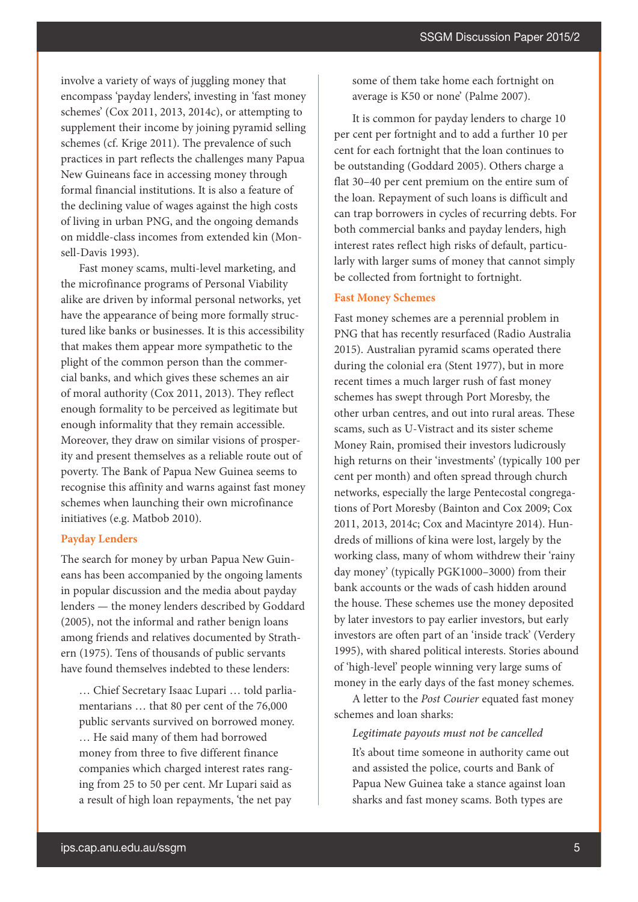involve a variety of ways of juggling money that encompass 'payday lenders', investing in 'fast money schemes' (Cox 2011, 2013, 2014c), or attempting to supplement their income by joining pyramid selling schemes (cf. Krige 2011). The prevalence of such practices in part reflects the challenges many Papua New Guineans face in accessing money through formal financial institutions. It is also a feature of the declining value of wages against the high costs of living in urban PNG, and the ongoing demands on middle-class incomes from extended kin (Monsell-Davis 1993).

Fast money scams, multi-level marketing, and the microfinance programs of Personal Viability alike are driven by informal personal networks, yet have the appearance of being more formally structured like banks or businesses. It is this accessibility that makes them appear more sympathetic to the plight of the common person than the commercial banks, and which gives these schemes an air of moral authority (Cox 2011, 2013). They reflect enough formality to be perceived as legitimate but enough informality that they remain accessible. Moreover, they draw on similar visions of prosperity and present themselves as a reliable route out of poverty. The Bank of Papua New Guinea seems to recognise this affinity and warns against fast money schemes when launching their own microfinance initiatives (e.g. Matbob 2010).

#### **Payday Lenders**

The search for money by urban Papua New Guineans has been accompanied by the ongoing laments in popular discussion and the media about payday lenders — the money lenders described by Goddard (2005), not the informal and rather benign loans among friends and relatives documented by Strathern (1975). Tens of thousands of public servants have found themselves indebted to these lenders:

… Chief Secretary Isaac Lupari … told parliamentarians … that 80 per cent of the 76,000 public servants survived on borrowed money. … He said many of them had borrowed money from three to five different finance companies which charged interest rates ranging from 25 to 50 per cent. Mr Lupari said as a result of high loan repayments, 'the net pay

some of them take home each fortnight on average is K50 or none' (Palme 2007).

It is common for payday lenders to charge 10 per cent per fortnight and to add a further 10 per cent for each fortnight that the loan continues to be outstanding (Goddard 2005). Others charge a flat 30–40 per cent premium on the entire sum of the loan. Repayment of such loans is difficult and can trap borrowers in cycles of recurring debts. For both commercial banks and payday lenders, high interest rates reflect high risks of default, particularly with larger sums of money that cannot simply be collected from fortnight to fortnight.

## **Fast Money Schemes**

Fast money schemes are a perennial problem in PNG that has recently resurfaced (Radio Australia 2015). Australian pyramid scams operated there during the colonial era (Stent 1977), but in more recent times a much larger rush of fast money schemes has swept through Port Moresby, the other urban centres, and out into rural areas. These scams, such as U-Vistract and its sister scheme Money Rain, promised their investors ludicrously high returns on their 'investments' (typically 100 per cent per month) and often spread through church networks, especially the large Pentecostal congregations of Port Moresby (Bainton and Cox 2009; Cox 2011, 2013, 2014c; Cox and Macintyre 2014). Hundreds of millions of kina were lost, largely by the working class, many of whom withdrew their 'rainy day money' (typically PGK1000–3000) from their bank accounts or the wads of cash hidden around the house. These schemes use the money deposited by later investors to pay earlier investors, but early investors are often part of an 'inside track' (Verdery 1995), with shared political interests. Stories abound of 'high-level' people winning very large sums of money in the early days of the fast money schemes.

A letter to the *Post Courier* equated fast money schemes and loan sharks:

*Legitimate payouts must not be cancelled* It's about time someone in authority came out and assisted the police, courts and Bank of Papua New Guinea take a stance against loan sharks and fast money scams. Both types are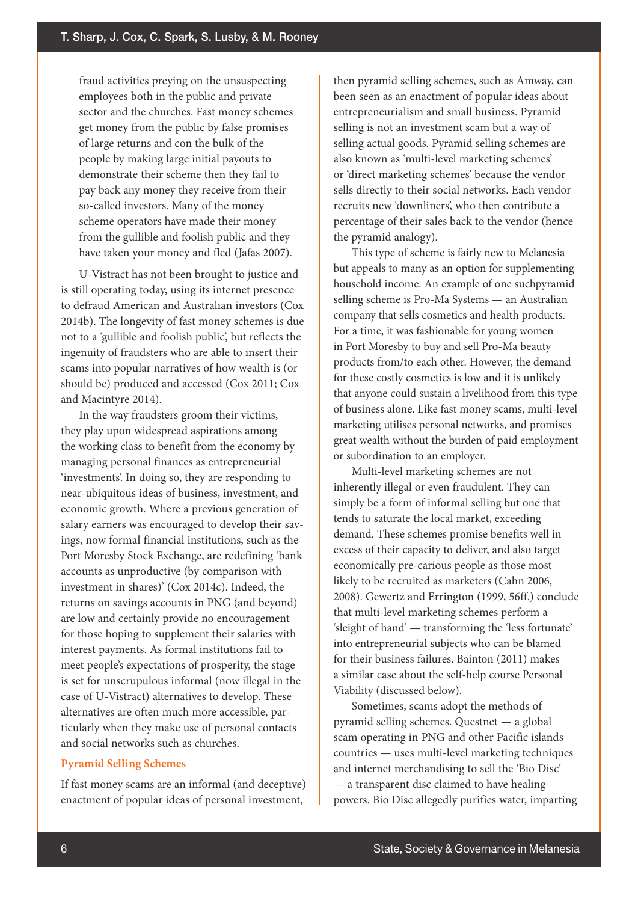fraud activities preying on the unsuspecting employees both in the public and private sector and the churches. Fast money schemes get money from the public by false promises of large returns and con the bulk of the people by making large initial payouts to demonstrate their scheme then they fail to pay back any money they receive from their so-called investors. Many of the money scheme operators have made their money from the gullible and foolish public and they have taken your money and fled (Jafas 2007).

U-Vistract has not been brought to justice and is still operating today, using its internet presence to defraud American and Australian investors (Cox 2014b). The longevity of fast money schemes is due not to a 'gullible and foolish public', but reflects the ingenuity of fraudsters who are able to insert their scams into popular narratives of how wealth is (or should be) produced and accessed (Cox 2011; Cox and Macintyre 2014).

In the way fraudsters groom their victims, they play upon widespread aspirations among the working class to benefit from the economy by managing personal finances as entrepreneurial 'investments'. In doing so, they are responding to near-ubiquitous ideas of business, investment, and economic growth. Where a previous generation of salary earners was encouraged to develop their savings, now formal financial institutions, such as the Port Moresby Stock Exchange, are redefining 'bank accounts as unproductive (by comparison with investment in shares)' (Cox 2014c). Indeed, the returns on savings accounts in PNG (and beyond) are low and certainly provide no encouragement for those hoping to supplement their salaries with interest payments. As formal institutions fail to meet people's expectations of prosperity, the stage is set for unscrupulous informal (now illegal in the case of U-Vistract) alternatives to develop. These alternatives are often much more accessible, particularly when they make use of personal contacts and social networks such as churches.

### **Pyramid Selling Schemes**

If fast money scams are an informal (and deceptive) enactment of popular ideas of personal investment,

then pyramid selling schemes, such as Amway, can been seen as an enactment of popular ideas about entrepreneurialism and small business. Pyramid selling is not an investment scam but a way of selling actual goods. Pyramid selling schemes are also known as 'multi-level marketing schemes' or 'direct marketing schemes' because the vendor sells directly to their social networks. Each vendor recruits new 'downliners', who then contribute a percentage of their sales back to the vendor (hence the pyramid analogy).

This type of scheme is fairly new to Melanesia but appeals to many as an option for supplementing household income. An example of one suchpyramid selling scheme is Pro-Ma Systems — an Australian company that sells cosmetics and health products. For a time, it was fashionable for young women in Port Moresby to buy and sell Pro-Ma beauty products from/to each other. However, the demand for these costly cosmetics is low and it is unlikely that anyone could sustain a livelihood from this type of business alone. Like fast money scams, multi-level marketing utilises personal networks, and promises great wealth without the burden of paid employment or subordination to an employer.

Multi-level marketing schemes are not inherently illegal or even fraudulent. They can simply be a form of informal selling but one that tends to saturate the local market, exceeding demand. These schemes promise benefits well in excess of their capacity to deliver, and also target economically pre-carious people as those most likely to be recruited as marketers (Cahn 2006, 2008). Gewertz and Errington (1999, 56ff.) conclude that multi-level marketing schemes perform a 'sleight of hand' — transforming the 'less fortunate' into entrepreneurial subjects who can be blamed for their business failures. Bainton (2011) makes a similar case about the self-help course Personal Viability (discussed below).

Sometimes, scams adopt the methods of pyramid selling schemes. Questnet — a global scam operating in PNG and other Pacific islands countries — uses multi-level marketing techniques and internet merchandising to sell the 'Bio Disc' — a transparent disc claimed to have healing powers. Bio Disc allegedly purifies water, imparting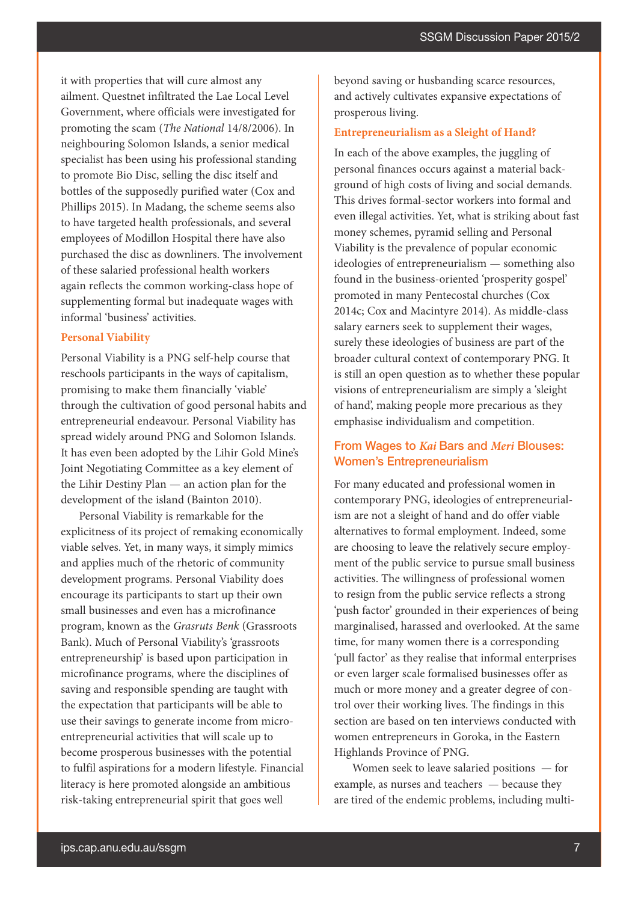it with properties that will cure almost any ailment. Questnet infiltrated the Lae Local Level Government, where officials were investigated for promoting the scam (*The National* 14/8/2006). In neighbouring Solomon Islands, a senior medical specialist has been using his professional standing to promote Bio Disc, selling the disc itself and bottles of the supposedly purified water (Cox and Phillips 2015). In Madang, the scheme seems also to have targeted health professionals, and several employees of Modillon Hospital there have also purchased the disc as downliners. The involvement of these salaried professional health workers again reflects the common working-class hope of supplementing formal but inadequate wages with informal 'business' activities.

### **Personal Viability**

Personal Viability is a PNG self-help course that reschools participants in the ways of capitalism, promising to make them financially 'viable' through the cultivation of good personal habits and entrepreneurial endeavour. Personal Viability has spread widely around PNG and Solomon Islands. It has even been adopted by the Lihir Gold Mine's Joint Negotiating Committee as a key element of the Lihir Destiny Plan — an action plan for the development of the island (Bainton 2010).

Personal Viability is remarkable for the explicitness of its project of remaking economically viable selves. Yet, in many ways, it simply mimics and applies much of the rhetoric of community development programs. Personal Viability does encourage its participants to start up their own small businesses and even has a microfinance program, known as the *Grasruts Benk* (Grassroots Bank). Much of Personal Viability's 'grassroots entrepreneurship' is based upon participation in microfinance programs, where the disciplines of saving and responsible spending are taught with the expectation that participants will be able to use their savings to generate income from microentrepreneurial activities that will scale up to become prosperous businesses with the potential to fulfil aspirations for a modern lifestyle. Financial literacy is here promoted alongside an ambitious risk-taking entrepreneurial spirit that goes well

beyond saving or husbanding scarce resources, and actively cultivates expansive expectations of prosperous living.

### **Entrepreneurialism as a Sleight of Hand?**

In each of the above examples, the juggling of personal finances occurs against a material background of high costs of living and social demands. This drives formal-sector workers into formal and even illegal activities. Yet, what is striking about fast money schemes, pyramid selling and Personal Viability is the prevalence of popular economic ideologies of entrepreneurialism — something also found in the business-oriented 'prosperity gospel' promoted in many Pentecostal churches (Cox 2014c; Cox and Macintyre 2014). As middle-class salary earners seek to supplement their wages, surely these ideologies of business are part of the broader cultural context of contemporary PNG. It is still an open question as to whether these popular visions of entrepreneurialism are simply a 'sleight of hand', making people more precarious as they emphasise individualism and competition.

# From Wages to *Kai* Bars and *Meri* Blouses: Women's Entrepreneurialism

For many educated and professional women in contemporary PNG, ideologies of entrepreneurialism are not a sleight of hand and do offer viable alternatives to formal employment. Indeed, some are choosing to leave the relatively secure employment of the public service to pursue small business activities. The willingness of professional women to resign from the public service reflects a strong 'push factor' grounded in their experiences of being marginalised, harassed and overlooked. At the same time, for many women there is a corresponding 'pull factor' as they realise that informal enterprises or even larger scale formalised businesses offer as much or more money and a greater degree of control over their working lives. The findings in this section are based on ten interviews conducted with women entrepreneurs in Goroka, in the Eastern Highlands Province of PNG.

Women seek to leave salaried positions — for example, as nurses and teachers — because they are tired of the endemic problems, including multi-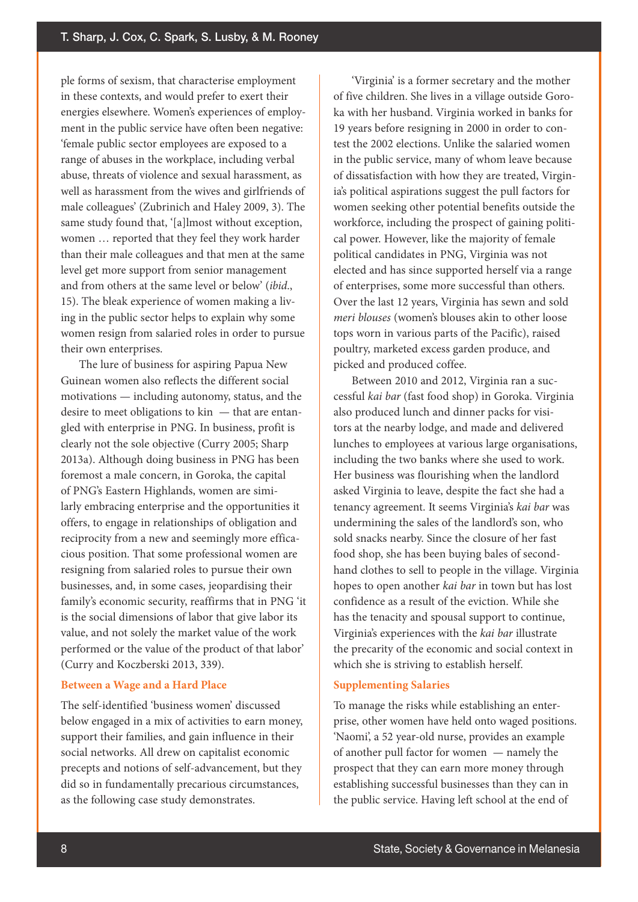ple forms of sexism, that characterise employment in these contexts, and would prefer to exert their energies elsewhere. Women's experiences of employment in the public service have often been negative: 'female public sector employees are exposed to a range of abuses in the workplace, including verbal abuse, threats of violence and sexual harassment, as well as harassment from the wives and girlfriends of male colleagues' (Zubrinich and Haley 2009, 3). The same study found that, '[a]lmost without exception, women … reported that they feel they work harder than their male colleagues and that men at the same level get more support from senior management and from others at the same level or below' (*ibid*., 15). The bleak experience of women making a living in the public sector helps to explain why some women resign from salaried roles in order to pursue their own enterprises.

The lure of business for aspiring Papua New Guinean women also reflects the different social motivations — including autonomy, status, and the desire to meet obligations to kin — that are entangled with enterprise in PNG. In business, profit is clearly not the sole objective (Curry 2005; Sharp 2013a). Although doing business in PNG has been foremost a male concern, in Goroka, the capital of PNG's Eastern Highlands, women are similarly embracing enterprise and the opportunities it offers, to engage in relationships of obligation and reciprocity from a new and seemingly more efficacious position. That some professional women are resigning from salaried roles to pursue their own businesses, and, in some cases, jeopardising their family's economic security, reaffirms that in PNG 'it is the social dimensions of labor that give labor its value, and not solely the market value of the work performed or the value of the product of that labor' (Curry and Koczberski 2013, 339).

## **Between a Wage and a Hard Place**

The self-identified 'business women' discussed below engaged in a mix of activities to earn money, support their families, and gain influence in their social networks. All drew on capitalist economic precepts and notions of self-advancement, but they did so in fundamentally precarious circumstances, as the following case study demonstrates.

'Virginia' is a former secretary and the mother of five children. She lives in a village outside Goroka with her husband. Virginia worked in banks for 19 years before resigning in 2000 in order to contest the 2002 elections. Unlike the salaried women in the public service, many of whom leave because of dissatisfaction with how they are treated, Virginia's political aspirations suggest the pull factors for women seeking other potential benefits outside the workforce, including the prospect of gaining political power. However, like the majority of female political candidates in PNG, Virginia was not elected and has since supported herself via a range of enterprises, some more successful than others. Over the last 12 years, Virginia has sewn and sold *meri blouses* (women's blouses akin to other loose tops worn in various parts of the Pacific), raised poultry, marketed excess garden produce, and picked and produced coffee.

Between 2010 and 2012, Virginia ran a successful *kai bar* (fast food shop) in Goroka. Virginia also produced lunch and dinner packs for visitors at the nearby lodge, and made and delivered lunches to employees at various large organisations, including the two banks where she used to work. Her business was flourishing when the landlord asked Virginia to leave, despite the fact she had a tenancy agreement. It seems Virginia's *kai bar* was undermining the sales of the landlord's son, who sold snacks nearby. Since the closure of her fast food shop, she has been buying bales of secondhand clothes to sell to people in the village. Virginia hopes to open another *kai bar* in town but has lost confidence as a result of the eviction. While she has the tenacity and spousal support to continue, Virginia's experiences with the *kai bar* illustrate the precarity of the economic and social context in which she is striving to establish herself.

#### **Supplementing Salaries**

To manage the risks while establishing an enterprise, other women have held onto waged positions. 'Naomi', a 52 year-old nurse, provides an example of another pull factor for women — namely the prospect that they can earn more money through establishing successful businesses than they can in the public service. Having left school at the end of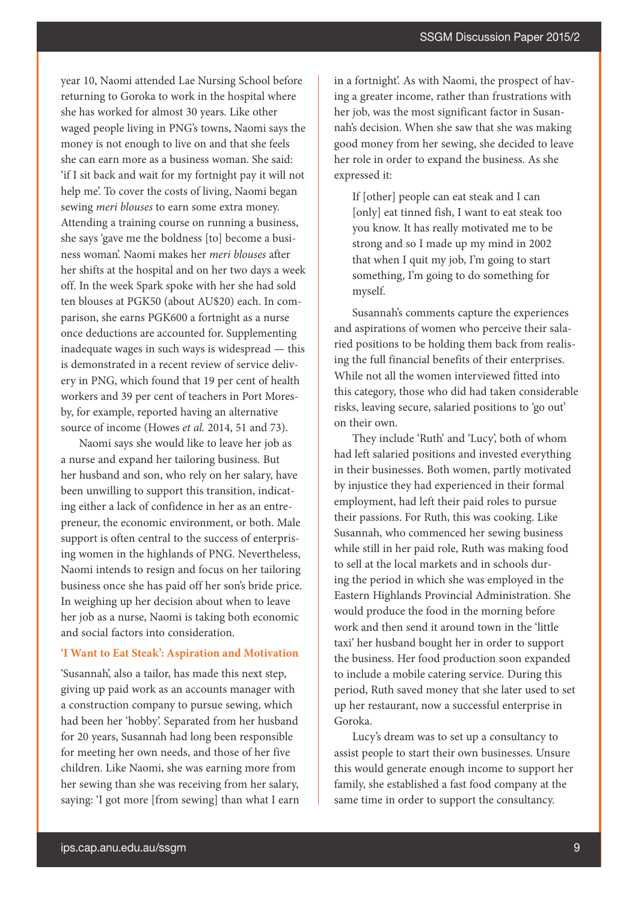year 10, Naomi attended Lae Nursing School before returning to Goroka to work in the hospital where she has worked for almost 30 years. Like other waged people living in PNG's towns, Naomi says the money is not enough to live on and that she feels she can earn more as a business woman. She said: 'if I sit back and wait for my fortnight pay it will not help me'. To cover the costs of living, Naomi began sewing *meri blouses* to earn some extra money. Attending a training course on running a business, she says 'gave me the boldness [to] become a business woman'. Naomi makes her *meri blouses* after her shifts at the hospital and on her two days a week off. In the week Spark spoke with her she had sold ten blouses at PGK50 (about AU\$20) each. In comparison, she earns PGK600 a fortnight as a nurse once deductions are accounted for. Supplementing inadequate wages in such ways is widespread — this is demonstrated in a recent review of service delivery in PNG, which found that 19 per cent of health workers and 39 per cent of teachers in Port Moresby, for example, reported having an alternative source of income (Howes *et al.* 2014, 51 and 73).

Naomi says she would like to leave her job as a nurse and expand her tailoring business. But her husband and son, who rely on her salary, have been unwilling to support this transition, indicating either a lack of confidence in her as an entrepreneur, the economic environment, or both. Male support is often central to the success of enterprising women in the highlands of PNG. Nevertheless, Naomi intends to resign and focus on her tailoring business once she has paid off her son's bride price. In weighing up her decision about when to leave her job as a nurse, Naomi is taking both economic and social factors into consideration.

#### **'I Want to Eat Steak': Aspiration and Motivation**

'Susannah', also a tailor, has made this next step, giving up paid work as an accounts manager with a construction company to pursue sewing, which had been her 'hobby'. Separated from her husband for 20 years, Susannah had long been responsible for meeting her own needs, and those of her five children. Like Naomi, she was earning more from her sewing than she was receiving from her salary, saying: 'I got more [from sewing] than what I earn in a fortnight'. As with Naomi, the prospect of having a greater income, rather than frustrations with her job, was the most significant factor in Susannah's decision. When she saw that she was making good money from her sewing, she decided to leave her role in order to expand the business. As she expressed it:

If [other] people can eat steak and I can [only] eat tinned fish, I want to eat steak too you know. It has really motivated me to be strong and so I made up my mind in 2002 that when I quit my job, I'm going to start something, I'm going to do something for myself.

Susannah's comments capture the experiences and aspirations of women who perceive their salaried positions to be holding them back from realising the full financial benefits of their enterprises. While not all the women interviewed fitted into this category, those who did had taken considerable risks, leaving secure, salaried positions to 'go out' on their own.

They include 'Ruth' and 'Lucy', both of whom had left salaried positions and invested everything in their businesses. Both women, partly motivated by injustice they had experienced in their formal employment, had left their paid roles to pursue their passions. For Ruth, this was cooking. Like Susannah, who commenced her sewing business while still in her paid role, Ruth was making food to sell at the local markets and in schools during the period in which she was employed in the Eastern Highlands Provincial Administration. She would produce the food in the morning before work and then send it around town in the 'little taxi' her husband bought her in order to support the business. Her food production soon expanded to include a mobile catering service. During this period, Ruth saved money that she later used to set up her restaurant, now a successful enterprise in Goroka.

Lucy's dream was to set up a consultancy to assist people to start their own businesses. Unsure this would generate enough income to support her family, she established a fast food company at the same time in order to support the consultancy.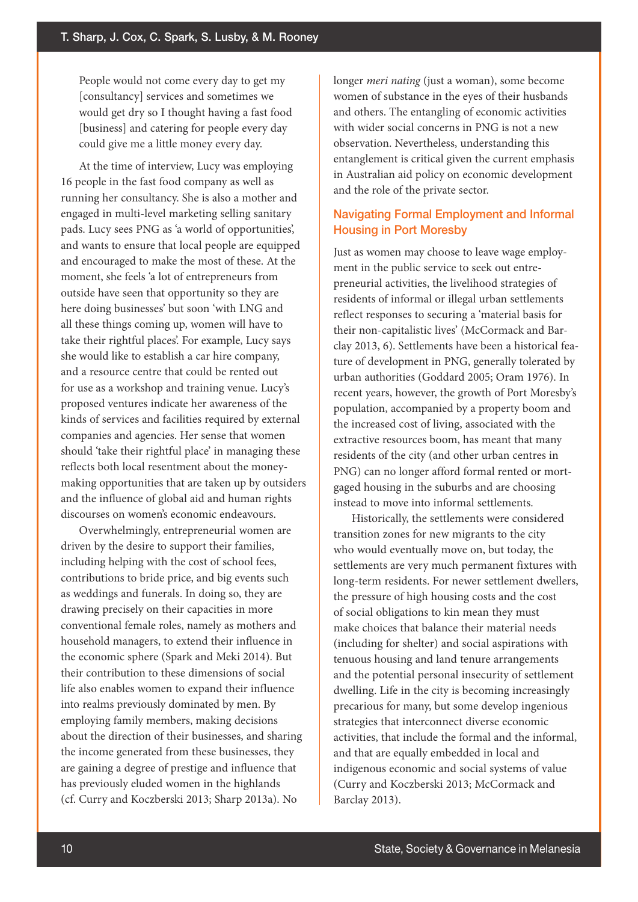People would not come every day to get my [consultancy] services and sometimes we would get dry so I thought having a fast food [business] and catering for people every day could give me a little money every day.

At the time of interview, Lucy was employing 16 people in the fast food company as well as running her consultancy. She is also a mother and engaged in multi-level marketing selling sanitary pads. Lucy sees PNG as 'a world of opportunities', and wants to ensure that local people are equipped and encouraged to make the most of these. At the moment, she feels 'a lot of entrepreneurs from outside have seen that opportunity so they are here doing businesses' but soon 'with LNG and all these things coming up, women will have to take their rightful places'. For example, Lucy says she would like to establish a car hire company, and a resource centre that could be rented out for use as a workshop and training venue. Lucy's proposed ventures indicate her awareness of the kinds of services and facilities required by external companies and agencies. Her sense that women should 'take their rightful place' in managing these reflects both local resentment about the moneymaking opportunities that are taken up by outsiders and the influence of global aid and human rights discourses on women's economic endeavours.

Overwhelmingly, entrepreneurial women are driven by the desire to support their families, including helping with the cost of school fees, contributions to bride price, and big events such as weddings and funerals. In doing so, they are drawing precisely on their capacities in more conventional female roles, namely as mothers and household managers, to extend their influence in the economic sphere (Spark and Meki 2014). But their contribution to these dimensions of social life also enables women to expand their influence into realms previously dominated by men. By employing family members, making decisions about the direction of their businesses, and sharing the income generated from these businesses, they are gaining a degree of prestige and influence that has previously eluded women in the highlands (cf. Curry and Koczberski 2013; Sharp 2013a). No

longer *meri nating* (just a woman), some become women of substance in the eyes of their husbands and others. The entangling of economic activities with wider social concerns in PNG is not a new observation. Nevertheless, understanding this entanglement is critical given the current emphasis in Australian aid policy on economic development and the role of the private sector.

# Navigating Formal Employment and Informal Housing in Port Moresby

Just as women may choose to leave wage employment in the public service to seek out entrepreneurial activities, the livelihood strategies of residents of informal or illegal urban settlements reflect responses to securing a 'material basis for their non-capitalistic lives' (McCormack and Barclay 2013, 6). Settlements have been a historical feature of development in PNG, generally tolerated by urban authorities (Goddard 2005; Oram 1976). In recent years, however, the growth of Port Moresby's population, accompanied by a property boom and the increased cost of living, associated with the extractive resources boom, has meant that many residents of the city (and other urban centres in PNG) can no longer afford formal rented or mortgaged housing in the suburbs and are choosing instead to move into informal settlements.

Historically, the settlements were considered transition zones for new migrants to the city who would eventually move on, but today, the settlements are very much permanent fixtures with long-term residents. For newer settlement dwellers, the pressure of high housing costs and the cost of social obligations to kin mean they must make choices that balance their material needs (including for shelter) and social aspirations with tenuous housing and land tenure arrangements and the potential personal insecurity of settlement dwelling. Life in the city is becoming increasingly precarious for many, but some develop ingenious strategies that interconnect diverse economic activities, that include the formal and the informal, and that are equally embedded in local and indigenous economic and social systems of value (Curry and Koczberski 2013; McCormack and Barclay 2013).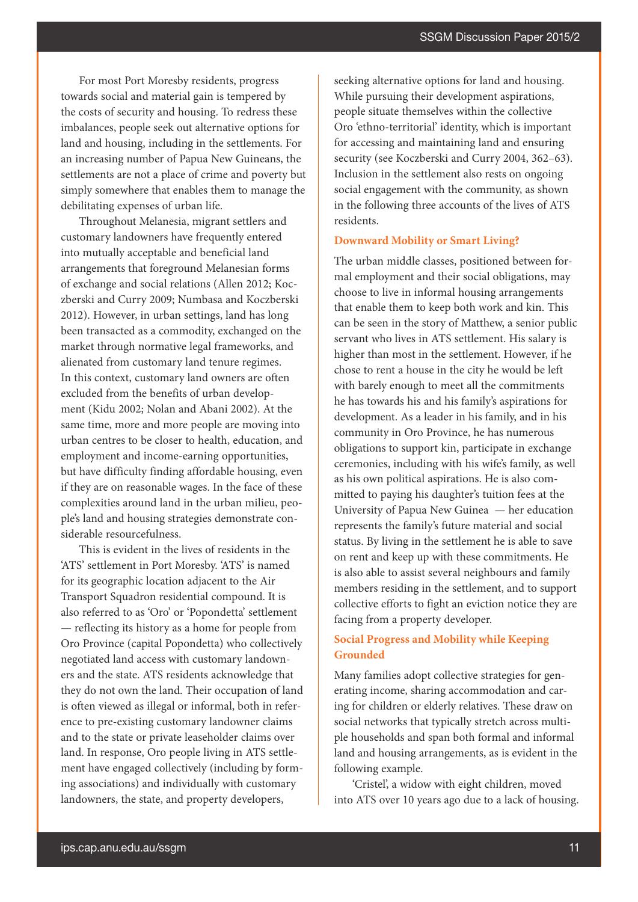For most Port Moresby residents, progress towards social and material gain is tempered by the costs of security and housing. To redress these imbalances, people seek out alternative options for land and housing, including in the settlements. For an increasing number of Papua New Guineans, the settlements are not a place of crime and poverty but simply somewhere that enables them to manage the debilitating expenses of urban life.

Throughout Melanesia, migrant settlers and customary landowners have frequently entered into mutually acceptable and beneficial land arrangements that foreground Melanesian forms of exchange and social relations (Allen 2012; Koczberski and Curry 2009; Numbasa and Koczberski 2012). However, in urban settings, land has long been transacted as a commodity, exchanged on the market through normative legal frameworks, and alienated from customary land tenure regimes. In this context, customary land owners are often excluded from the benefits of urban development (Kidu 2002; Nolan and Abani 2002). At the same time, more and more people are moving into urban centres to be closer to health, education, and employment and income-earning opportunities, but have difficulty finding affordable housing, even if they are on reasonable wages. In the face of these complexities around land in the urban milieu, people's land and housing strategies demonstrate considerable resourcefulness.

This is evident in the lives of residents in the 'ATS' settlement in Port Moresby. 'ATS' is named for its geographic location adjacent to the Air Transport Squadron residential compound. It is also referred to as 'Oro' or 'Popondetta' settlement — reflecting its history as a home for people from Oro Province (capital Popondetta) who collectively negotiated land access with customary landowners and the state. ATS residents acknowledge that they do not own the land. Their occupation of land is often viewed as illegal or informal, both in reference to pre-existing customary landowner claims and to the state or private leaseholder claims over land. In response, Oro people living in ATS settlement have engaged collectively (including by forming associations) and individually with customary landowners, the state, and property developers,

seeking alternative options for land and housing. While pursuing their development aspirations, people situate themselves within the collective Oro 'ethno-territorial' identity, which is important for accessing and maintaining land and ensuring security (see Koczberski and Curry 2004, 362–63). Inclusion in the settlement also rests on ongoing social engagement with the community, as shown in the following three accounts of the lives of ATS residents.

## **Downward Mobility or Smart Living?**

The urban middle classes, positioned between formal employment and their social obligations, may choose to live in informal housing arrangements that enable them to keep both work and kin. This can be seen in the story of Matthew, a senior public servant who lives in ATS settlement. His salary is higher than most in the settlement. However, if he chose to rent a house in the city he would be left with barely enough to meet all the commitments he has towards his and his family's aspirations for development. As a leader in his family, and in his community in Oro Province, he has numerous obligations to support kin, participate in exchange ceremonies, including with his wife's family, as well as his own political aspirations. He is also committed to paying his daughter's tuition fees at the University of Papua New Guinea — her education represents the family's future material and social status. By living in the settlement he is able to save on rent and keep up with these commitments. He is also able to assist several neighbours and family members residing in the settlement, and to support collective efforts to fight an eviction notice they are facing from a property developer.

# **Social Progress and Mobility while Keeping Grounded**

Many families adopt collective strategies for generating income, sharing accommodation and caring for children or elderly relatives. These draw on social networks that typically stretch across multiple households and span both formal and informal land and housing arrangements, as is evident in the following example.

'Cristel', a widow with eight children, moved into ATS over 10 years ago due to a lack of housing.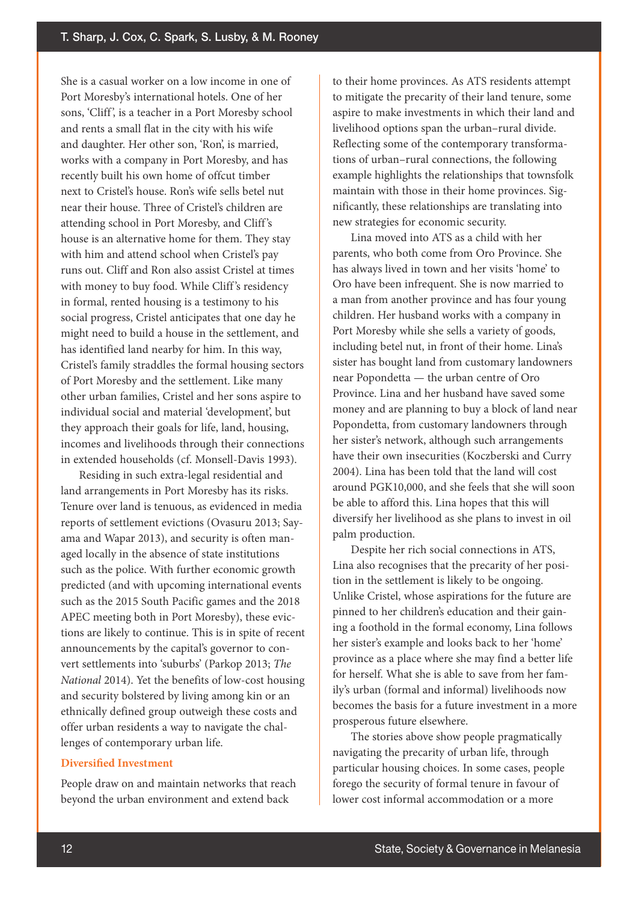She is a casual worker on a low income in one of Port Moresby's international hotels. One of her sons, 'Cliff', is a teacher in a Port Moresby school and rents a small flat in the city with his wife and daughter. Her other son, 'Ron', is married, works with a company in Port Moresby, and has recently built his own home of offcut timber next to Cristel's house. Ron's wife sells betel nut near their house. Three of Cristel's children are attending school in Port Moresby, and Cliff 's house is an alternative home for them. They stay with him and attend school when Cristel's pay runs out. Cliff and Ron also assist Cristel at times with money to buy food. While Cliff's residency in formal, rented housing is a testimony to his social progress, Cristel anticipates that one day he might need to build a house in the settlement, and has identified land nearby for him. In this way, Cristel's family straddles the formal housing sectors of Port Moresby and the settlement. Like many other urban families, Cristel and her sons aspire to individual social and material 'development', but they approach their goals for life, land, housing, incomes and livelihoods through their connections in extended households (cf. Monsell-Davis 1993).

Residing in such extra-legal residential and land arrangements in Port Moresby has its risks. Tenure over land is tenuous, as evidenced in media reports of settlement evictions (Ovasuru 2013; Sayama and Wapar 2013), and security is often managed locally in the absence of state institutions such as the police. With further economic growth predicted (and with upcoming international events such as the 2015 South Pacific games and the 2018 APEC meeting both in Port Moresby), these evictions are likely to continue. This is in spite of recent announcements by the capital's governor to convert settlements into 'suburbs' (Parkop 2013; *The National* 2014). Yet the benefits of low-cost housing and security bolstered by living among kin or an ethnically defined group outweigh these costs and offer urban residents a way to navigate the challenges of contemporary urban life.

#### **Diversified Investment**

People draw on and maintain networks that reach beyond the urban environment and extend back

to their home provinces. As ATS residents attempt to mitigate the precarity of their land tenure, some aspire to make investments in which their land and livelihood options span the urban–rural divide. Reflecting some of the contemporary transformations of urban–rural connections, the following example highlights the relationships that townsfolk maintain with those in their home provinces. Significantly, these relationships are translating into new strategies for economic security.

Lina moved into ATS as a child with her parents, who both come from Oro Province. She has always lived in town and her visits 'home' to Oro have been infrequent. She is now married to a man from another province and has four young children. Her husband works with a company in Port Moresby while she sells a variety of goods, including betel nut, in front of their home. Lina's sister has bought land from customary landowners near Popondetta — the urban centre of Oro Province. Lina and her husband have saved some money and are planning to buy a block of land near Popondetta, from customary landowners through her sister's network, although such arrangements have their own insecurities (Koczberski and Curry 2004). Lina has been told that the land will cost around PGK10,000, and she feels that she will soon be able to afford this. Lina hopes that this will diversify her livelihood as she plans to invest in oil palm production.

Despite her rich social connections in ATS, Lina also recognises that the precarity of her position in the settlement is likely to be ongoing. Unlike Cristel, whose aspirations for the future are pinned to her children's education and their gaining a foothold in the formal economy, Lina follows her sister's example and looks back to her 'home' province as a place where she may find a better life for herself. What she is able to save from her family's urban (formal and informal) livelihoods now becomes the basis for a future investment in a more prosperous future elsewhere.

The stories above show people pragmatically navigating the precarity of urban life, through particular housing choices. In some cases, people forego the security of formal tenure in favour of lower cost informal accommodation or a more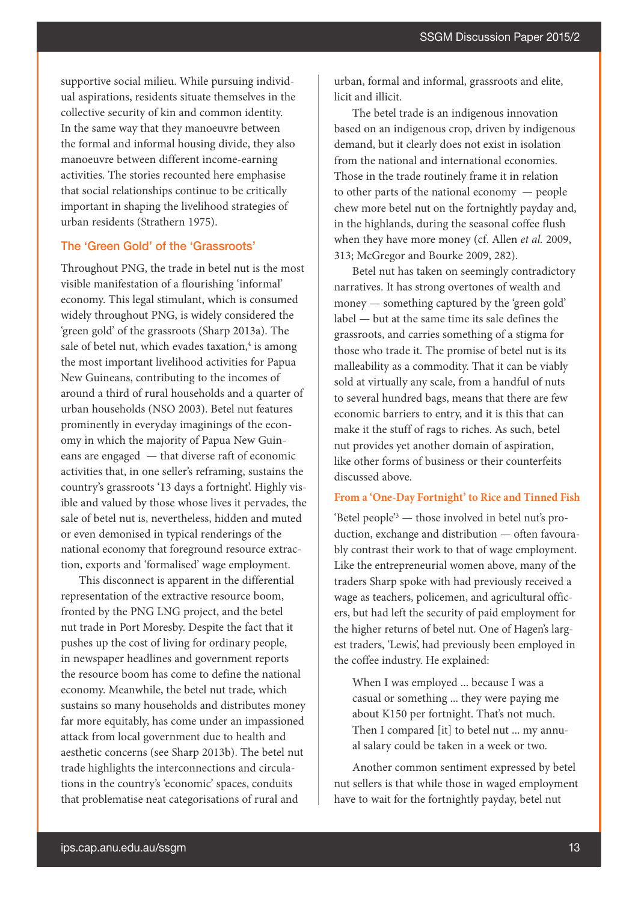supportive social milieu. While pursuing individual aspirations, residents situate themselves in the collective security of kin and common identity. In the same way that they manoeuvre between the formal and informal housing divide, they also manoeuvre between different income-earning activities. The stories recounted here emphasise that social relationships continue to be critically important in shaping the livelihood strategies of urban residents (Strathern 1975).

## The 'Green Gold' of the 'Grassroots'

Throughout PNG, the trade in betel nut is the most visible manifestation of a flourishing 'informal' economy. This legal stimulant, which is consumed widely throughout PNG, is widely considered the 'green gold' of the grassroots (Sharp 2013a). The sale of betel nut, which evades taxation,<sup>4</sup> is among the most important livelihood activities for Papua New Guineans, contributing to the incomes of around a third of rural households and a quarter of urban households (NSO 2003). Betel nut features prominently in everyday imaginings of the economy in which the majority of Papua New Guineans are engaged — that diverse raft of economic activities that, in one seller's reframing, sustains the country's grassroots '13 days a fortnight'. Highly visible and valued by those whose lives it pervades, the sale of betel nut is, nevertheless, hidden and muted or even demonised in typical renderings of the national economy that foreground resource extraction, exports and 'formalised' wage employment.

This disconnect is apparent in the differential representation of the extractive resource boom, fronted by the PNG LNG project, and the betel nut trade in Port Moresby. Despite the fact that it pushes up the cost of living for ordinary people, in newspaper headlines and government reports the resource boom has come to define the national economy. Meanwhile, the betel nut trade, which sustains so many households and distributes money far more equitably, has come under an impassioned attack from local government due to health and aesthetic concerns (see Sharp 2013b). The betel nut trade highlights the interconnections and circulations in the country's 'economic' spaces, conduits that problematise neat categorisations of rural and

urban, formal and informal, grassroots and elite, licit and illicit.

The betel trade is an indigenous innovation based on an indigenous crop, driven by indigenous demand, but it clearly does not exist in isolation from the national and international economies. Those in the trade routinely frame it in relation to other parts of the national economy — people chew more betel nut on the fortnightly payday and, in the highlands, during the seasonal coffee flush when they have more money (cf. Allen *et al.* 2009, 313; McGregor and Bourke 2009, 282).

Betel nut has taken on seemingly contradictory narratives. It has strong overtones of wealth and money — something captured by the 'green gold' label — but at the same time its sale defines the grassroots, and carries something of a stigma for those who trade it. The promise of betel nut is its malleability as a commodity. That it can be viably sold at virtually any scale, from a handful of nuts to several hundred bags, means that there are few economic barriers to entry, and it is this that can make it the stuff of rags to riches. As such, betel nut provides yet another domain of aspiration, like other forms of business or their counterfeits discussed above.

## **From a 'One-Day Fortnight' to Rice and Tinned Fish**

'Betel people'3 — those involved in betel nut's production, exchange and distribution — often favourably contrast their work to that of wage employment. Like the entrepreneurial women above, many of the traders Sharp spoke with had previously received a wage as teachers, policemen, and agricultural officers, but had left the security of paid employment for the higher returns of betel nut. One of Hagen's largest traders, 'Lewis', had previously been employed in the coffee industry. He explained:

When I was employed ... because I was a casual or something ... they were paying me about K150 per fortnight. That's not much. Then I compared [it] to betel nut ... my annual salary could be taken in a week or two.

Another common sentiment expressed by betel nut sellers is that while those in waged employment have to wait for the fortnightly payday, betel nut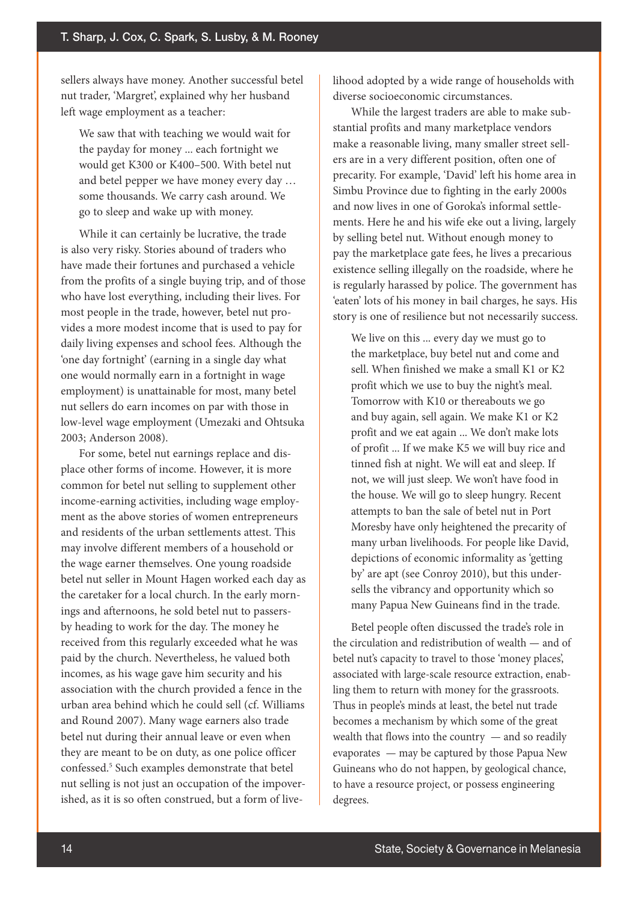sellers always have money. Another successful betel nut trader, 'Margret', explained why her husband left wage employment as a teacher:

We saw that with teaching we would wait for the payday for money ... each fortnight we would get K300 or K400–500. With betel nut and betel pepper we have money every day … some thousands. We carry cash around. We go to sleep and wake up with money.

While it can certainly be lucrative, the trade is also very risky. Stories abound of traders who have made their fortunes and purchased a vehicle from the profits of a single buying trip, and of those who have lost everything, including their lives. For most people in the trade, however, betel nut provides a more modest income that is used to pay for daily living expenses and school fees. Although the 'one day fortnight' (earning in a single day what one would normally earn in a fortnight in wage employment) is unattainable for most, many betel nut sellers do earn incomes on par with those in low-level wage employment (Umezaki and Ohtsuka 2003; Anderson 2008).

For some, betel nut earnings replace and displace other forms of income. However, it is more common for betel nut selling to supplement other income-earning activities, including wage employment as the above stories of women entrepreneurs and residents of the urban settlements attest. This may involve different members of a household or the wage earner themselves. One young roadside betel nut seller in Mount Hagen worked each day as the caretaker for a local church. In the early mornings and afternoons, he sold betel nut to passersby heading to work for the day. The money he received from this regularly exceeded what he was paid by the church. Nevertheless, he valued both incomes, as his wage gave him security and his association with the church provided a fence in the urban area behind which he could sell (cf. Williams and Round 2007). Many wage earners also trade betel nut during their annual leave or even when they are meant to be on duty, as one police officer confessed.<sup>5</sup> Such examples demonstrate that betel nut selling is not just an occupation of the impoverished, as it is so often construed, but a form of livelihood adopted by a wide range of households with diverse socioeconomic circumstances.

While the largest traders are able to make substantial profits and many marketplace vendors make a reasonable living, many smaller street sellers are in a very different position, often one of precarity. For example, 'David' left his home area in Simbu Province due to fighting in the early 2000s and now lives in one of Goroka's informal settlements. Here he and his wife eke out a living, largely by selling betel nut. Without enough money to pay the marketplace gate fees, he lives a precarious existence selling illegally on the roadside, where he is regularly harassed by police. The government has 'eaten' lots of his money in bail charges, he says. His story is one of resilience but not necessarily success.

We live on this ... every day we must go to the marketplace, buy betel nut and come and sell. When finished we make a small K1 or K2 profit which we use to buy the night's meal. Tomorrow with K10 or thereabouts we go and buy again, sell again. We make K1 or K2 profit and we eat again ... We don't make lots of profit ... If we make K5 we will buy rice and tinned fish at night. We will eat and sleep. If not, we will just sleep. We won't have food in the house. We will go to sleep hungry. Recent attempts to ban the sale of betel nut in Port Moresby have only heightened the precarity of many urban livelihoods. For people like David, depictions of economic informality as 'getting by' are apt (see Conroy 2010), but this undersells the vibrancy and opportunity which so many Papua New Guineans find in the trade.

Betel people often discussed the trade's role in the circulation and redistribution of wealth — and of betel nut's capacity to travel to those 'money places', associated with large-scale resource extraction, enabling them to return with money for the grassroots. Thus in people's minds at least, the betel nut trade becomes a mechanism by which some of the great wealth that flows into the country — and so readily evaporates — may be captured by those Papua New Guineans who do not happen, by geological chance, to have a resource project, or possess engineering degrees.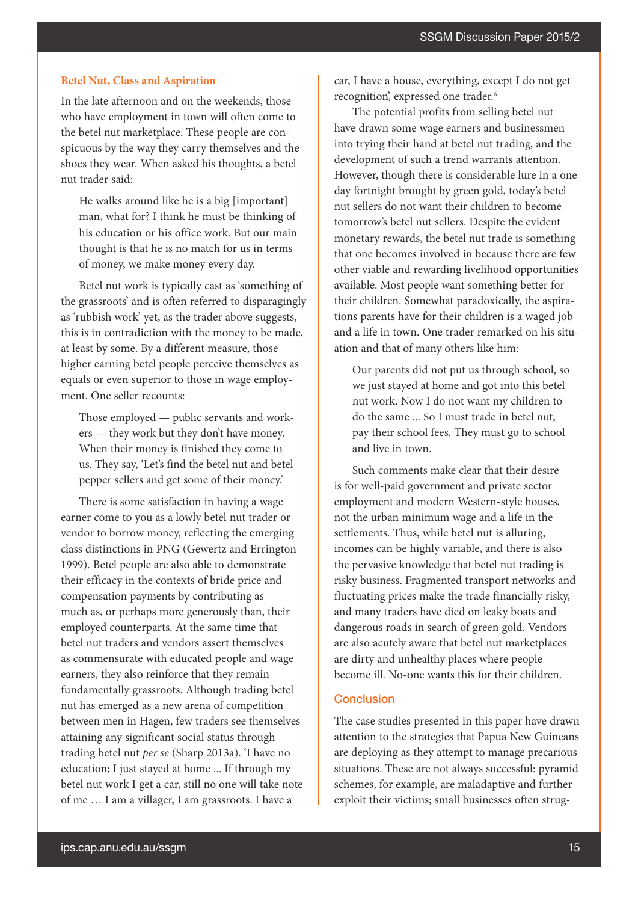### **Betel Nut, Class and Aspiration**

In the late afternoon and on the weekends, those who have employment in town will often come to the betel nut marketplace. These people are conspicuous by the way they carry themselves and the shoes they wear. When asked his thoughts, a betel nut trader said:

He walks around like he is a big [important] man, what for? I think he must be thinking of his education or his office work. But our main thought is that he is no match for us in terms of money, we make money every day.

Betel nut work is typically cast as 'something of the grassroots' and is often referred to disparagingly as 'rubbish work' yet, as the trader above suggests, this is in contradiction with the money to be made, at least by some. By a different measure, those higher earning betel people perceive themselves as equals or even superior to those in wage employment. One seller recounts:

Those employed — public servants and workers — they work but they don't have money. When their money is finished they come to us. They say, 'Let's find the betel nut and betel pepper sellers and get some of their money.'

There is some satisfaction in having a wage earner come to you as a lowly betel nut trader or vendor to borrow money, reflecting the emerging class distinctions in PNG (Gewertz and Errington 1999). Betel people are also able to demonstrate their efficacy in the contexts of bride price and compensation payments by contributing as much as, or perhaps more generously than, their employed counterparts. At the same time that betel nut traders and vendors assert themselves as commensurate with educated people and wage earners, they also reinforce that they remain fundamentally grassroots. Although trading betel nut has emerged as a new arena of competition between men in Hagen, few traders see themselves attaining any significant social status through trading betel nut *per se* (Sharp 2013a). 'I have no education; I just stayed at home ... If through my betel nut work I get a car, still no one will take note of me … I am a villager, I am grassroots. I have a

car, I have a house, everything, except I do not get recognition', expressed one trader.<sup>6</sup>

The potential profits from selling betel nut have drawn some wage earners and businessmen into trying their hand at betel nut trading, and the development of such a trend warrants attention. However, though there is considerable lure in a one day fortnight brought by green gold, today's betel nut sellers do not want their children to become tomorrow's betel nut sellers. Despite the evident monetary rewards, the betel nut trade is something that one becomes involved in because there are few other viable and rewarding livelihood opportunities available. Most people want something better for their children. Somewhat paradoxically, the aspirations parents have for their children is a waged job and a life in town. One trader remarked on his situation and that of many others like him:

Our parents did not put us through school, so we just stayed at home and got into this betel nut work. Now I do not want my children to do the same ... So I must trade in betel nut, pay their school fees. They must go to school and live in town.

Such comments make clear that their desire is for well-paid government and private sector employment and modern Western-style houses, not the urban minimum wage and a life in the settlements. Thus, while betel nut is alluring, incomes can be highly variable, and there is also the pervasive knowledge that betel nut trading is risky business. Fragmented transport networks and fluctuating prices make the trade financially risky, and many traders have died on leaky boats and dangerous roads in search of green gold. Vendors are also acutely aware that betel nut marketplaces are dirty and unhealthy places where people become ill. No-one wants this for their children.

## **Conclusion**

The case studies presented in this paper have drawn attention to the strategies that Papua New Guineans are deploying as they attempt to manage precarious situations. These are not always successful: pyramid schemes, for example, are maladaptive and further exploit their victims; small businesses often strug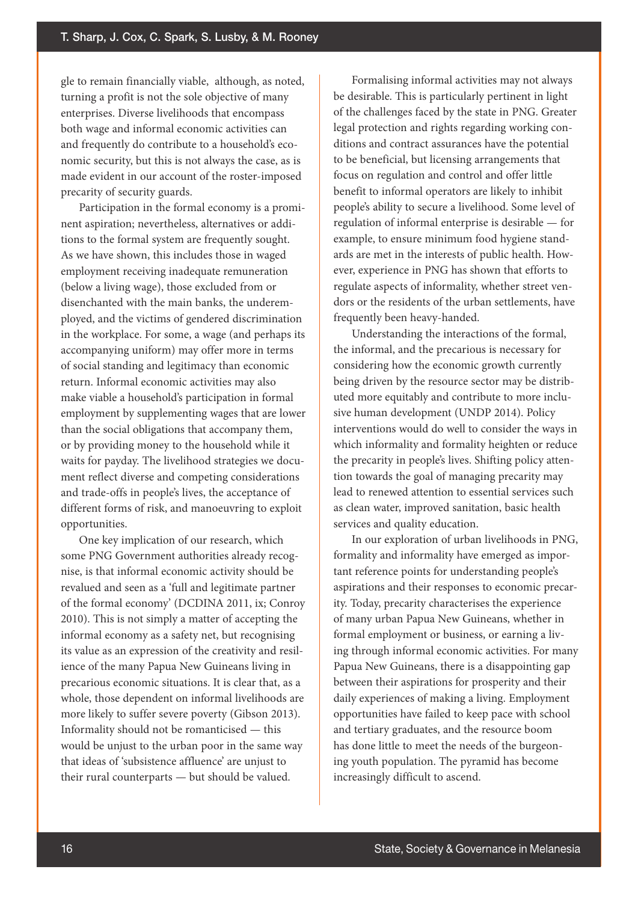gle to remain financially viable, although, as noted, turning a profit is not the sole objective of many enterprises. Diverse livelihoods that encompass both wage and informal economic activities can and frequently do contribute to a household's economic security, but this is not always the case, as is made evident in our account of the roster-imposed precarity of security guards.

Participation in the formal economy is a prominent aspiration; nevertheless, alternatives or additions to the formal system are frequently sought. As we have shown, this includes those in waged employment receiving inadequate remuneration (below a living wage), those excluded from or disenchanted with the main banks, the underemployed, and the victims of gendered discrimination in the workplace. For some, a wage (and perhaps its accompanying uniform) may offer more in terms of social standing and legitimacy than economic return. Informal economic activities may also make viable a household's participation in formal employment by supplementing wages that are lower than the social obligations that accompany them, or by providing money to the household while it waits for payday. The livelihood strategies we document reflect diverse and competing considerations and trade-offs in people's lives, the acceptance of different forms of risk, and manoeuvring to exploit opportunities.

One key implication of our research, which some PNG Government authorities already recognise, is that informal economic activity should be revalued and seen as a 'full and legitimate partner of the formal economy' (DCDINA 2011, ix; Conroy 2010). This is not simply a matter of accepting the informal economy as a safety net, but recognising its value as an expression of the creativity and resilience of the many Papua New Guineans living in precarious economic situations. It is clear that, as a whole, those dependent on informal livelihoods are more likely to suffer severe poverty (Gibson 2013). Informality should not be romanticised — this would be unjust to the urban poor in the same way that ideas of 'subsistence affluence' are unjust to their rural counterparts — but should be valued.

Formalising informal activities may not always be desirable. This is particularly pertinent in light of the challenges faced by the state in PNG. Greater legal protection and rights regarding working conditions and contract assurances have the potential to be beneficial, but licensing arrangements that focus on regulation and control and offer little benefit to informal operators are likely to inhibit people's ability to secure a livelihood. Some level of regulation of informal enterprise is desirable — for example, to ensure minimum food hygiene standards are met in the interests of public health. However, experience in PNG has shown that efforts to regulate aspects of informality, whether street vendors or the residents of the urban settlements, have frequently been heavy-handed.

Understanding the interactions of the formal, the informal, and the precarious is necessary for considering how the economic growth currently being driven by the resource sector may be distributed more equitably and contribute to more inclusive human development (UNDP 2014). Policy interventions would do well to consider the ways in which informality and formality heighten or reduce the precarity in people's lives. Shifting policy attention towards the goal of managing precarity may lead to renewed attention to essential services such as clean water, improved sanitation, basic health services and quality education.

In our exploration of urban livelihoods in PNG, formality and informality have emerged as important reference points for understanding people's aspirations and their responses to economic precarity. Today, precarity characterises the experience of many urban Papua New Guineans, whether in formal employment or business, or earning a living through informal economic activities. For many Papua New Guineans, there is a disappointing gap between their aspirations for prosperity and their daily experiences of making a living. Employment opportunities have failed to keep pace with school and tertiary graduates, and the resource boom has done little to meet the needs of the burgeoning youth population. The pyramid has become increasingly difficult to ascend.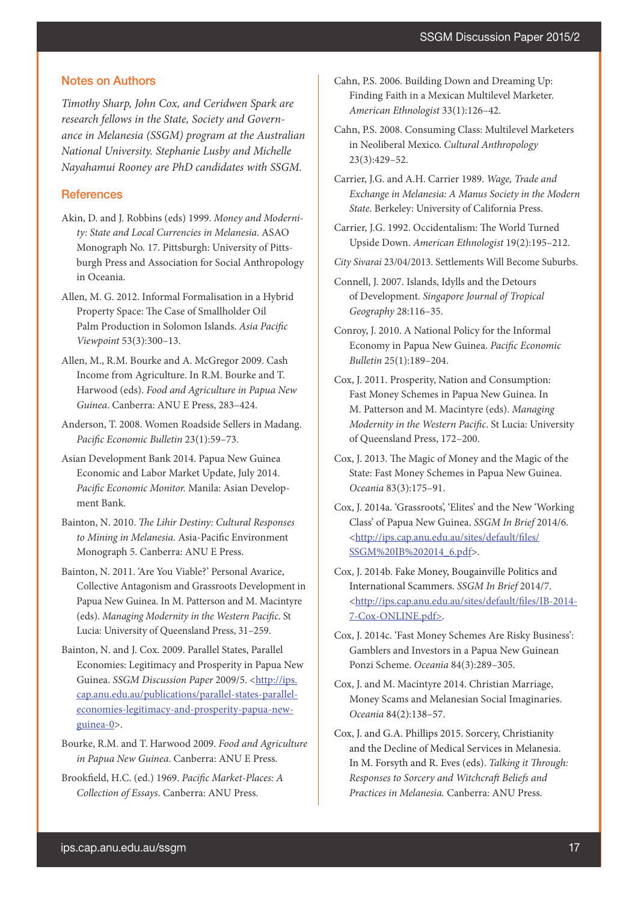# Notes on Authors

*Timothy Sharp, John Cox, and Ceridwen Spark are research fellows in the State, Society and Governance in Melanesia (SSGM) program at the Australian National University. Stephanie Lusby and Michelle Nayahamui Rooney are PhD candidates with SSGM.*

#### **References**

- Akin, D. and J. Robbins (eds) 1999. *Money and Modernity: State and Local Currencies in Melanesia*. ASAO Monograph No. 17. Pittsburgh: University of Pittsburgh Press and Association for Social Anthropology in Oceania.
- Allen, M. G. 2012. Informal Formalisation in a Hybrid Property Space: The Case of Smallholder Oil Palm Production in Solomon Islands. *Asia Pacific Viewpoint* 53(3):300–13.
- Allen, M., R.M. Bourke and A. McGregor 2009. Cash Income from Agriculture. In R.M. Bourke and T. Harwood (eds). *Food and Agriculture in Papua New Guinea*. Canberra: ANU E Press, 283–424.
- Anderson, T. 2008. Women Roadside Sellers in Madang. *Pacific Economic Bulletin* 23(1):59–73.
- Asian Development Bank 2014. Papua New Guinea Economic and Labor Market Update, July 2014. *Pacific Economic Monitor.* Manila: Asian Development Bank.
- Bainton, N. 2010. *The Lihir Destiny: Cultural Responses to Mining in Melanesia.* Asia-Pacific Environment Monograph 5. Canberra: ANU E Press.
- Bainton, N. 2011. 'Are You Viable?' Personal Avarice, Collective Antagonism and Grassroots Development in Papua New Guinea. In M. Patterson and M. Macintyre (eds). *Managing Modernity in the Western Pacific*. St Lucia: University of Queensland Press, 31–259.
- Bainton, N. and J. Cox. 2009. Parallel States, Parallel Economies: Legitimacy and Prosperity in Papua New Guinea. *SSGM Discussion Paper* 2009/5. <[http://ips.](http://ips.cap.anu.edu.au/publications/parallel-states-parallel-economies-legitimacy-and-prosperity-papua-new-guinea-0) [cap.anu.edu.au/publications/parallel-states-parallel](http://ips.cap.anu.edu.au/publications/parallel-states-parallel-economies-legitimacy-and-prosperity-papua-new-guinea-0)[economies-legitimacy-and-prosperity-papua-new](http://ips.cap.anu.edu.au/publications/parallel-states-parallel-economies-legitimacy-and-prosperity-papua-new-guinea-0)[guinea-0>](http://ips.cap.anu.edu.au/publications/parallel-states-parallel-economies-legitimacy-and-prosperity-papua-new-guinea-0).
- Bourke, R.M. and T. Harwood 2009. *Food and Agriculture in Papua New Guinea*. Canberra: ANU E Press.
- Brookfield, H.C. (ed.) 1969. *Pacific Market-Places: A Collection of Essays*. Canberra: ANU Press.
- Cahn, P.S. 2006. Building Down and Dreaming Up: Finding Faith in a Mexican Multilevel Marketer. *American Ethnologist* 33(1):126–42.
- Cahn, P.S. 2008. Consuming Class: Multilevel Marketers in Neoliberal Mexico. *Cultural Anthropology* 23(3):429–52.
- Carrier, J.G. and A.H. Carrier 1989. *Wage, Trade and Exchange in Melanesia: A Manus Society in the Modern State*. Berkeley: University of California Press.
- Carrier, J.G. 1992. Occidentalism: The World Turned Upside Down. *American Ethnologist* 19(2):195–212.
- *City Sivarai* 23/04/2013. Settlements Will Become Suburbs.
- Connell, J. 2007. Islands, Idylls and the Detours of Development. *Singapore Journal of Tropical Geography* 28:116–35.
- Conroy, J. 2010. A National Policy for the Informal Economy in Papua New Guinea. *Pacific Economic Bulletin* 25(1):189–204.
- Cox, J. 2011. Prosperity, Nation and Consumption: Fast Money Schemes in Papua New Guinea. In M. Patterson and M. Macintyre (eds). *Managing Modernity in the Western Pacific*. St Lucia: University of Queensland Press, 172–200.
- Cox, J. 2013. The Magic of Money and the Magic of the State: Fast Money Schemes in Papua New Guinea. *Oceania* 83(3):175–91.
- Cox, J. 2014a. 'Grassroots', 'Elites' and the New 'Working Class' of Papua New Guinea. *SSGM In Brief* 2014/6. <[http://ips.cap.anu.edu.au/sites/default/files/](http://ips.cap.anu.edu.au/sites/default/files/SSGM%2520IB%25202014_6.pdf) [SSGM%20IB%202014\\_6.pdf>](http://ips.cap.anu.edu.au/sites/default/files/SSGM%2520IB%25202014_6.pdf).
- Cox, J. 2014b. [Fake Money, Bougainville Politics and](https://www.academia.edu/6597992/Fake_money_Bougainville_politics_and_international_scammers_Ib_2014_7_Cox_Online)  [International Scammers.](https://www.academia.edu/6597992/Fake_money_Bougainville_politics_and_international_scammers_Ib_2014_7_Cox_Online) *SSGM In Brief* 2014/7. <[http://ips.cap.anu.edu.au/sites/default/files/IB-2014-](http://ips.cap.anu.edu.au/sites/default/files/IB-2014-7-Cox-ONLINE.pdf) [7-Cox-ONLINE.pdf>](http://ips.cap.anu.edu.au/sites/default/files/IB-2014-7-Cox-ONLINE.pdf).
- Cox, J. 2014c. 'Fast Money Schemes Are Risky Business': Gamblers and Investors in a Papua New Guinean Ponzi Scheme. *Oceania* 84(3):289–305.
- Cox, J. and M. Macintyre 2014. Christian Marriage, Money Scams and Melanesian Social Imaginaries. *Oceania* 84(2):138–57.
- Cox, J. and G.A. Phillips 2015. Sorcery, Christianity and the Decline of Medical Services in Melanesia. In M. Forsyth and R. Eves (eds). *Talking it Through: Responses to Sorcery and Witchcraft Beliefs and Practices in Melanesia.* Canberra: ANU Press.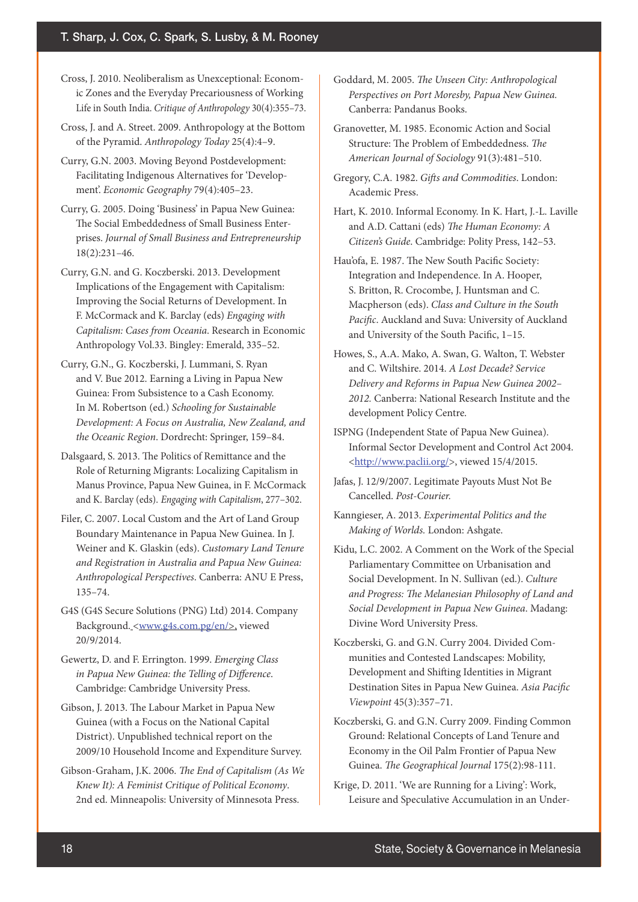- Cross, J. 2010. Neoliberalism as Unexceptional: Economic Zones and the Everyday Precariousness of Working Life in South India. *Critique of Anthropology* 30(4):355–73.
- Cross, J. and A. Street. 2009. Anthropology at the Bottom of the Pyramid. *Anthropology Today* 25(4):4–9.
- Curry, G.N. 2003. Moving Beyond Postdevelopment: Facilitating Indigenous Alternatives for 'Development'. *Economic Geography* 79(4):405–23.
- Curry, G. 2005. Doing 'Business' in Papua New Guinea: The Social Embeddedness of Small Business Enterprises. *Journal of Small Business and Entrepreneurship* 18(2):231–46.
- Curry, G.N. and G. Koczberski. 2013. Development Implications of the Engagement with Capitalism: Improving the Social Returns of Development. In F. McCormack and K. Barclay (eds) *Engaging with Capitalism: Cases from Oceania*. Research in Economic Anthropology Vol.33. Bingley: Emerald, 335–52.
- Curry, G.N., G. Koczberski, J. Lummani, S. Ryan and V. Bue 2012. Earning a Living in Papua New Guinea: From Subsistence to a Cash Economy. In M. Robertson (ed.) *Schooling for Sustainable Development: A Focus on Australia, New Zealand, and the Oceanic Region*. Dordrecht: Springer, 159–84.
- Dalsgaard, S. 2013. The Politics of Remittance and the Role of Returning Migrants: Localizing Capitalism in Manus Province, Papua New Guinea, in F. McCormack and K. Barclay (eds). *Engaging with Capitalism*, 277–302.
- Filer, C. 2007. Local Custom and the Art of Land Group Boundary Maintenance in Papua New Guinea. In J. Weiner and K. Glaskin (eds). *Customary Land Tenure and Registration in Australia and Papua New Guinea: Anthropological Perspectives*. Canberra: ANU E Press, 135–74.
- G4S (G4S Secure Solutions (PNG) Ltd) 2014. Company Background. <<www.g4s.com.pg/en/>>, viewed 20/9/2014.
- Gewertz, D. and F. Errington. 1999. *Emerging Class in Papua New Guinea: the Telling of Difference*. Cambridge: Cambridge University Press.
- Gibson, J. 2013. The Labour Market in Papua New Guinea (with a Focus on the National Capital District). Unpublished technical report on the 2009/10 Household Income and Expenditure Survey.
- Gibson-Graham, J.K. 2006. *The End of Capitalism (As We Knew It): A Feminist Critique of Political Economy*. 2nd ed. Minneapolis: University of Minnesota Press.
- Goddard, M. 2005. *The Unseen City: Anthropological Perspectives on Port Moresby, Papua New Guinea.* Canberra: Pandanus Books.
- Granovetter, M. 1985. Economic Action and Social Structure: The Problem of Embeddedness. *The American Journal of Sociology* 91(3):481–510.
- Gregory, C.A. 1982. *Gifts and Commodities*. London: Academic Press.
- Hart, K. 2010. Informal Economy. In K. Hart, J.-L. Laville and A.D. Cattani (eds) *The Human Economy: A Citizen's Guide*. Cambridge: Polity Press, 142–53.
- Hau'ofa, E. 1987. The New South Pacific Society: Integration and Independence. In A. Hooper, S. Britton, R. Crocombe, J. Huntsman and C. Macpherson (eds). *Class and Culture in the South Pacific*. Auckland and Suva: University of Auckland and University of the South Pacific, 1–15.
- Howes, S., A.A. Mako, A. Swan, G. Walton, T. Webster and C. Wiltshire. 2014. *A Lost Decade? Service Delivery and Reforms in Papua New Guinea 2002– 2012.* Canberra: National Research Institute and the development Policy Centre.
- ISPNG (Independent State of Papua New Guinea). Informal Sector Development and Control Act 2004. <<http://www.paclii.org/>>, viewed 15/4/2015.
- Jafas, J. 12/9/2007. Legitimate Payouts Must Not Be Cancelled. *Post-Courier.*
- Kanngieser, A. 2013. *Experimental Politics and the Making of Worlds.* London: Ashgate.
- Kidu, L.C. 2002. A Comment on the Work of the Special Parliamentary Committee on Urbanisation and Social Development. In N. Sullivan (ed.). *Culture and Progress: The Melanesian Philosophy of Land and Social Development in Papua New Guinea*. Madang: Divine Word University Press.
- Koczberski, G. and G.N. Curry 2004. Divided Communities and Contested Landscapes: Mobility, Development and Shifting Identities in Migrant Destination Sites in Papua New Guinea. *Asia Pacific Viewpoint* 45(3):357–71.
- Koczberski, G. and G.N. Curry 2009. Finding Common Ground: Relational Concepts of Land Tenure and Economy in the Oil Palm Frontier of Papua New Guinea. *The Geographical Journal* 175(2):98-111.
- Krige, D. 2011. 'We are Running for a Living': Work, Leisure and Speculative Accumulation in an Under-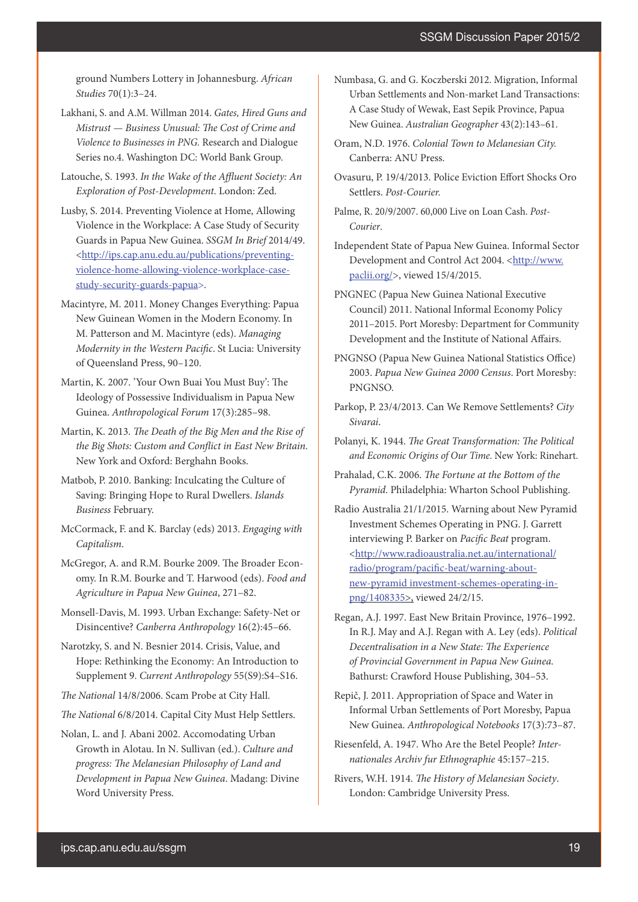ground Numbers Lottery in Johannesburg. *African Studies* 70(1):3–24.

- Lakhani, S. and A.M. Willman 2014. *Gates, Hired Guns and Mistrust — Business Unusual: The Cost of Crime and Violence to Businesses in PNG.* Research and Dialogue Series no.4. Washington DC: World Bank Group.
- Latouche, S. 1993. *In the Wake of the Affluent Society: An Exploration of Post-Development*. London: Zed.
- Lusby, S. 2014. Preventing Violence at Home, Allowing Violence in the Workplace: A Case Study of Security Guards in Papua New Guinea. *SSGM In Brief* 2014/49. [<http://ips.cap.anu.edu.au/publications/preventing](http://ips.cap.anu.edu.au/publications/preventing-violence-home-allowing-violence-workplace-case-study-security-guards-papua%3E)[violence-home-allowing-violence-workplace-case](http://ips.cap.anu.edu.au/publications/preventing-violence-home-allowing-violence-workplace-case-study-security-guards-papua%3E)[study-security-guards-papua>](http://ips.cap.anu.edu.au/publications/preventing-violence-home-allowing-violence-workplace-case-study-security-guards-papua%3E).
- Macintyre, M. 2011. Money Changes Everything: Papua New Guinean Women in the Modern Economy. In M. Patterson and M. Macintyre (eds). *Managing Modernity in the Western Pacific*. St Lucia: University of Queensland Press, 90–120.
- Martin, K. 2007. 'Your Own Buai You Must Buy': The Ideology of Possessive Individualism in Papua New Guinea. *Anthropological Forum* 17(3):285–98.
- Martin, K. 2013. *The Death of the Big Men and the Rise of the Big Shots: Custom and Conflict in East New Britain.*  New York and Oxford: Berghahn Books.
- Matbob, P. 2010. Banking: Inculcating the Culture of Saving: Bringing Hope to Rural Dwellers. *Islands Business* February.
- McCormack, F. and K. Barclay (eds) 2013. *Engaging with Capitalism*.
- McGregor, A. and R.M. Bourke 2009. The Broader Economy. In R.M. Bourke and T. Harwood (eds). *Food and Agriculture in Papua New Guinea*, 271–82.
- Monsell-Davis, M. 1993. Urban Exchange: Safety-Net or Disincentive? *Canberra Anthropology* 16(2):45–66.
- Narotzky, S. and N. Besnier 2014. Crisis, Value, and Hope: Rethinking the Economy: An Introduction to Supplement 9. *Current Anthropology* 55(S9):S4–S16.
- *The National* 14/8/2006. Scam Probe at City Hall.
- *The National* 6/8/2014. Capital City Must Help Settlers.
- Nolan, L. and J. Abani 2002. Accomodating Urban Growth in Alotau. In N. Sullivan (ed.). *Culture and progress: The Melanesian Philosophy of Land and Development in Papua New Guinea*. Madang: Divine Word University Press.
- Numbasa, G. and G. Koczberski 2012. Migration, Informal Urban Settlements and Non-market Land Transactions: A Case Study of Wewak, East Sepik Province, Papua New Guinea. *Australian Geographer* 43(2):143–61.
- Oram, N.D. 1976. *Colonial Town to Melanesian City.* Canberra: ANU Press.
- Ovasuru, P. 19/4/2013. Police Eviction Effort Shocks Oro Settlers. *Post-Courier.*
- Palme, R. 20/9/2007. 60,000 Live on Loan Cash. *Post-Courier*.
- Independent State of Papua New Guinea. Informal Sector Development and Control Act 2004. <[http://www.](http://www.paclii.org/) [paclii.org/>](http://www.paclii.org/), viewed 15/4/2015.
- PNGNEC (Papua New Guinea National Executive Council) 2011. National Informal Economy Policy 2011–2015. Port Moresby: Department for Community Development and the Institute of National Affairs.
- PNGNSO (Papua New Guinea National Statistics Office) 2003. *Papua New Guinea 2000 Census*. Port Moresby: PNGNSO.
- Parkop, P. 23/4/2013. Can We Remove Settlements? *City Sivarai*.
- Polanyi, K. 1944. *The Great Transformation: The Political and Economic Origins of Our Time*. New York: Rinehart.
- Prahalad, C.K. 2006. *The Fortune at the Bottom of the Pyramid*. Philadelphia: Wharton School Publishing.
- Radio Australia 21/1/2015. Warning about New Pyramid Investment Schemes Operating in PNG. J. Garrett interviewing P. Barker on *Pacific Beat* program. <[http://www.radioaustralia.net.au/international/](http://www.radioaustralia.net.au/international/radio/program/pacific-beat/warning-about-new-pyramid-investment-schemes-operating-in-png/1408335) [radio/program/pacific-beat/warning-about](http://www.radioaustralia.net.au/international/radio/program/pacific-beat/warning-about-new-pyramid-investment-schemes-operating-in-png/1408335)[new-pyramid investment-schemes-operating-in](http://www.radioaustralia.net.au/international/radio/program/pacific-beat/warning-about-new-pyramid-investment-schemes-operating-in-png/1408335)[png/1408335](http://www.radioaustralia.net.au/international/radio/program/pacific-beat/warning-about-new-pyramid-investment-schemes-operating-in-png/1408335)>, viewed 24/2/15.
- Regan, A.J. 1997. East New Britain Province, 1976–1992. In R.J. May and A.J. Regan with A. Ley (eds). *Political Decentralisation in a New State: The Experience of Provincial Government in Papua New Guinea.*  Bathurst: Crawford House Publishing, 304–53.
- Repič, J. 2011. Appropriation of Space and Water in Informal Urban Settlements of Port Moresby, Papua New Guinea. *Anthropological Notebooks* 17(3):73–87.
- Riesenfeld, A. 1947. Who Are the Betel People? *Internationales Archiv fur Ethnographie* 45:157–215.
- Rivers, W.H. 1914. *The History of Melanesian Society*. London: Cambridge University Press.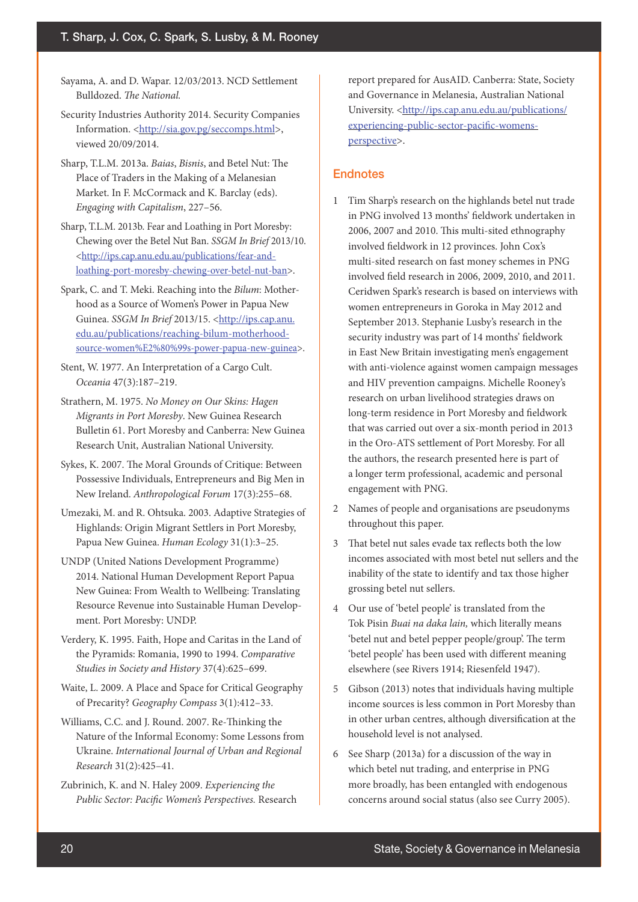- Sayama, A. and D. Wapar. 12/03/2013. NCD Settlement Bulldozed. *The National.*
- Security Industries Authority 2014. Security Companies Information. <[http://sia.gov.pg/seccomps.html>](http://sia.gov.pg/seccomps.html), viewed 20/09/2014.
- Sharp, T.L.M. 2013a. *Baias*, *Bisnis*, and Betel Nut: The Place of Traders in the Making of a Melanesian Market. In F. McCormack and K. Barclay (eds). *Engaging with Capitalism*, 227–56.
- Sharp, T.L.M. 2013b. Fear and Loathing in Port Moresby: Chewing over the Betel Nut Ban. *SSGM In Brief* 2013/10. [<http://ips.cap.anu.edu.au/publications/fear-and](http://ips.cap.anu.edu.au/publications/fear-and-loathing-port-moresby-chewing-over-betel-nut-ban)[loathing-port-moresby-chewing-over-betel-nut-ban](http://ips.cap.anu.edu.au/publications/fear-and-loathing-port-moresby-chewing-over-betel-nut-ban)>.
- Spark, C. and T. Meki. Reaching into the *Bilum*: Motherhood as a Source of Women's Power in Papua New Guinea. *SSGM In Brief* 2013/15. [<http://ips.cap.anu.](http://ips.cap.anu.edu.au/publications/reaching-bilum-motherhood-source-women%25E2%2580%2599s-power-papua-new-guinea) [edu.au/publications/reaching-bilum-motherhood](http://ips.cap.anu.edu.au/publications/reaching-bilum-motherhood-source-women%25E2%2580%2599s-power-papua-new-guinea)[source-women%E2%80%99s-power-papua-new-guinea](http://ips.cap.anu.edu.au/publications/reaching-bilum-motherhood-source-women%25E2%2580%2599s-power-papua-new-guinea)>.
- Stent, W. 1977. An Interpretation of a Cargo Cult. *Oceania* 47(3):187–219.
- Strathern, M. 1975. *No Money on Our Skins: Hagen Migrants in Port Moresby*. New Guinea Research Bulletin 61. Port Moresby and Canberra: New Guinea Research Unit, Australian National University.
- Sykes, K. 2007. The Moral Grounds of Critique: Between Possessive Individuals, Entrepreneurs and Big Men in New Ireland. *Anthropological Forum* 17(3):255–68.
- Umezaki, M. and R. Ohtsuka. 2003. Adaptive Strategies of Highlands: Origin Migrant Settlers in Port Moresby, Papua New Guinea. *Human Ecology* 31(1):3–25.
- UNDP (United Nations Development Programme) 2014. National Human Development Report Papua New Guinea: From Wealth to Wellbeing: Translating Resource Revenue into Sustainable Human Development. Port Moresby: UNDP.
- Verdery, K. 1995. Faith, Hope and Caritas in the Land of the Pyramids: Romania, 1990 to 1994. *Comparative Studies in Society and History* 37(4):625–699.
- Waite, L. 2009. A Place and Space for Critical Geography of Precarity? *Geography Compass* 3(1):412–33.
- Williams, C.C. and J. Round. 2007. Re-Thinking the Nature of the Informal Economy: Some Lessons from Ukraine. *International Journal of Urban and Regional Research* 31(2):425–41.
- Zubrinich, K. and N. Haley 2009. *Experiencing the Public Sector: Pacific Women's Perspectives.* Research

report prepared for AusAID. Canberra: State, Society and Governance in Melanesia, Australian National University. <[http://ips.cap.anu.edu.au/publications/](http://ips.cap.anu.edu.au/publications/experiencing-public-sector-pacific-womens-perspective) [experiencing-public-sector-pacific-womens](http://ips.cap.anu.edu.au/publications/experiencing-public-sector-pacific-womens-perspective)[perspective](http://ips.cap.anu.edu.au/publications/experiencing-public-sector-pacific-womens-perspective)>.

## **Endnotes**

- 1 Tim Sharp's research on the highlands betel nut trade in PNG involved 13 months' fieldwork undertaken in 2006, 2007 and 2010. This multi-sited ethnography involved fieldwork in 12 provinces. John Cox's multi-sited research on fast money schemes in PNG involved field research in 2006, 2009, 2010, and 2011. Ceridwen Spark's research is based on interviews with women entrepreneurs in Goroka in May 2012 and September 2013. Stephanie Lusby's research in the security industry was part of 14 months' fieldwork in East New Britain investigating men's engagement with anti-violence against women campaign messages and HIV prevention campaigns. Michelle Rooney's research on urban livelihood strategies draws on long-term residence in Port Moresby and fieldwork that was carried out over a six-month period in 2013 in the Oro-ATS settlement of Port Moresby. For all the authors, the research presented here is part of a longer term professional, academic and personal engagement with PNG.
- 2 Names of people and organisations are pseudonyms throughout this paper.
- 3 That betel nut sales evade tax reflects both the low incomes associated with most betel nut sellers and the inability of the state to identify and tax those higher grossing betel nut sellers.
- 4 Our use of 'betel people' is translated from the Tok Pisin *Buai na daka lain,* which literally means 'betel nut and betel pepper people/group'. The term 'betel people' has been used with different meaning elsewhere (see Rivers 1914; Riesenfeld 1947).
- 5 Gibson (2013) notes that individuals having multiple income sources is less common in Port Moresby than in other urban centres, although diversification at the household level is not analysed.
- 6 See Sharp (2013a) for a discussion of the way in which betel nut trading, and enterprise in PNG more broadly, has been entangled with endogenous concerns around social status (also see Curry 2005).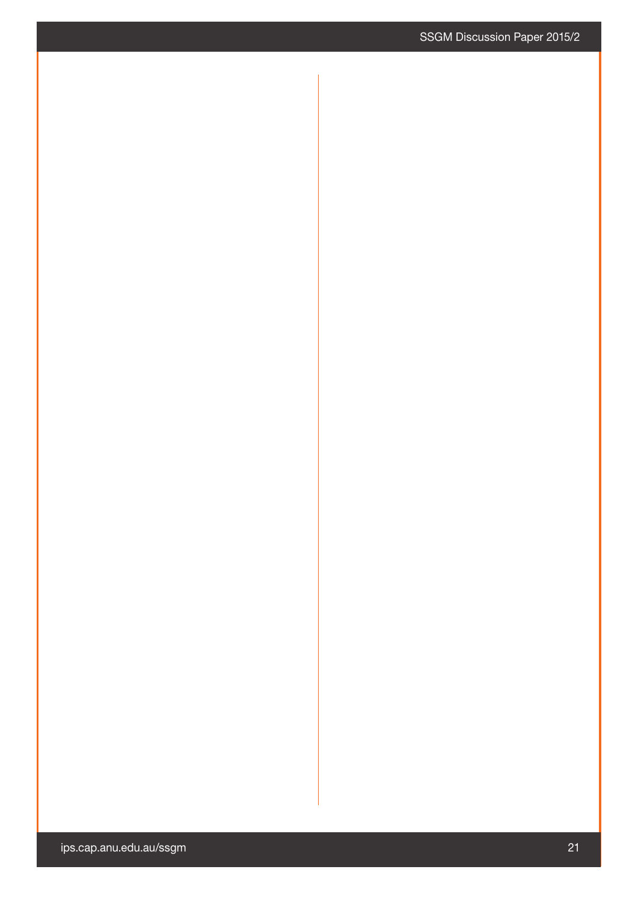ips.cap.anu.edu.au/ssgm 21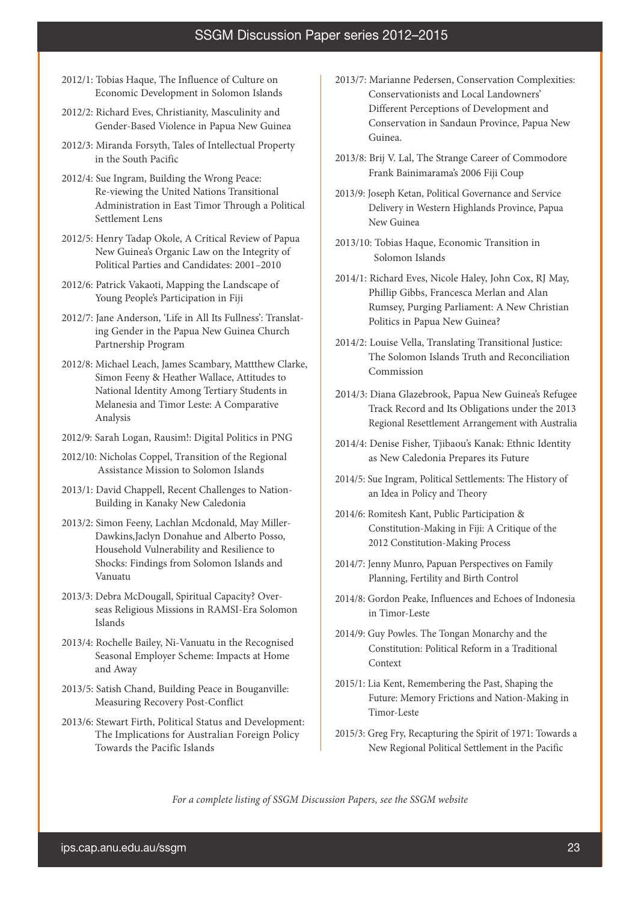# T. Sharp, J. Cox , C. Sharp, S. S. S. S. S. S. S. Cox , S. S. S. Lusby, & M.N. Roome, S. S. Lusby, & M.N. Roome, T

- 2012/1: Tobias Haque, The Influence of Culture on Economic Development in Solomon Islands
- 2012/2: Richard Eves, Christianity, Masculinity and Gender-Based Violence in Papua New Guinea
- 2012/3: Miranda Forsyth, Tales of Intellectual Property in the South Pacific
- 2012/4: Sue Ingram, Building the Wrong Peace: Re-viewing the United Nations Transitional Administration in East Timor Through a Political Settlement Lens
- 2012/5: Henry Tadap Okole, A Critical Review of Papua New Guinea's Organic Law on the Integrity of Political Parties and Candidates: 2001–2010
- 2012/6: Patrick Vakaoti, Mapping the Landscape of Young People's Participation in Fiji
- 2012/7: Jane Anderson, 'Life in All Its Fullness': Translating Gender in the Papua New Guinea Church Partnership Program
- 2012/8: Michael Leach, James Scambary, Mattthew Clarke, Simon Feeny & Heather Wallace, Attitudes to National Identity Among Tertiary Students in Melanesia and Timor Leste: A Comparative Analysis
- 2012/9: Sarah Logan, Rausim!: Digital Politics in PNG
- 2012/10: Nicholas Coppel, Transition of the Regional Assistance Mission to Solomon Islands
- 2013/1: David Chappell, Recent Challenges to Nation-Building in Kanaky New Caledonia
- 2013/2: Simon Feeny, Lachlan Mcdonald, May Miller-Dawkins,Jaclyn Donahue and Alberto Posso, Household Vulnerability and Resilience to Shocks: Findings from Solomon Islands and Vanuatu
- 2013/3: Debra McDougall, Spiritual Capacity? Overseas Religious Missions in RAMSI-Era Solomon Islands
- 2013/4: Rochelle Bailey, Ni-Vanuatu in the Recognised Seasonal Employer Scheme: Impacts at Home and Away
- 2013/5: Satish Chand, Building Peace in Bouganville: Measuring Recovery Post-Conflict
- 2013/6: Stewart Firth, Political Status and Development: The Implications for Australian Foreign Policy Towards the Pacific Islands
- 2013/7: Marianne Pedersen, Conservation Complexities: Conservationists and Local Landowners' Different Perceptions of Development and Conservation in Sandaun Province, Papua New Guinea.
- 2013/8: Brij V. Lal, The Strange Career of Commodore Frank Bainimarama's 2006 Fiji Coup
- 2013/9: Joseph Ketan, Political Governance and Service Delivery in Western Highlands Province, Papua New Guinea
- 2013/10: Tobias Haque, Economic Transition in Solomon Islands
- 2014/1: Richard Eves, Nicole Haley, John Cox, RJ May, Phillip Gibbs, Francesca Merlan and Alan Rumsey, Purging Parliament: A New Christian Politics in Papua New Guinea?
- 2014/2: Louise Vella, Translating Transitional Justice: The Solomon Islands Truth and Reconciliation Commission
- 2014/3: Diana Glazebrook, Papua New Guinea's Refugee Track Record and Its Obligations under the 2013 Regional Resettlement Arrangement with Australia
- 2014/4: Denise Fisher, Tjibaou's Kanak: Ethnic Identity as New Caledonia Prepares its Future
- 2014/5: Sue Ingram, Political Settlements: The History of an Idea in Policy and Theory
- 2014/6: Romitesh Kant, Public Participation & Constitution-Making in Fiji: A Critique of the 2012 Constitution-Making Process
- 2014/7: Jenny Munro, Papuan Perspectives on Family Planning, Fertility and Birth Control
- 2014/8: Gordon Peake, Influences and Echoes of Indonesia in Timor-Leste
- 2014/9: Guy Powles. The Tongan Monarchy and the Constitution: Political Reform in a Traditional Context
- 2015/1: Lia Kent, Remembering the Past, Shaping the Future: Memory Frictions and Nation-Making in Timor-Leste
- 2015/3: Greg Fry, Recapturing the Spirit of 1971: Towards a New Regional Political Settlement in the Pacific

*For a complete listing of SSGM Discussion Papers, see the SSGM website*